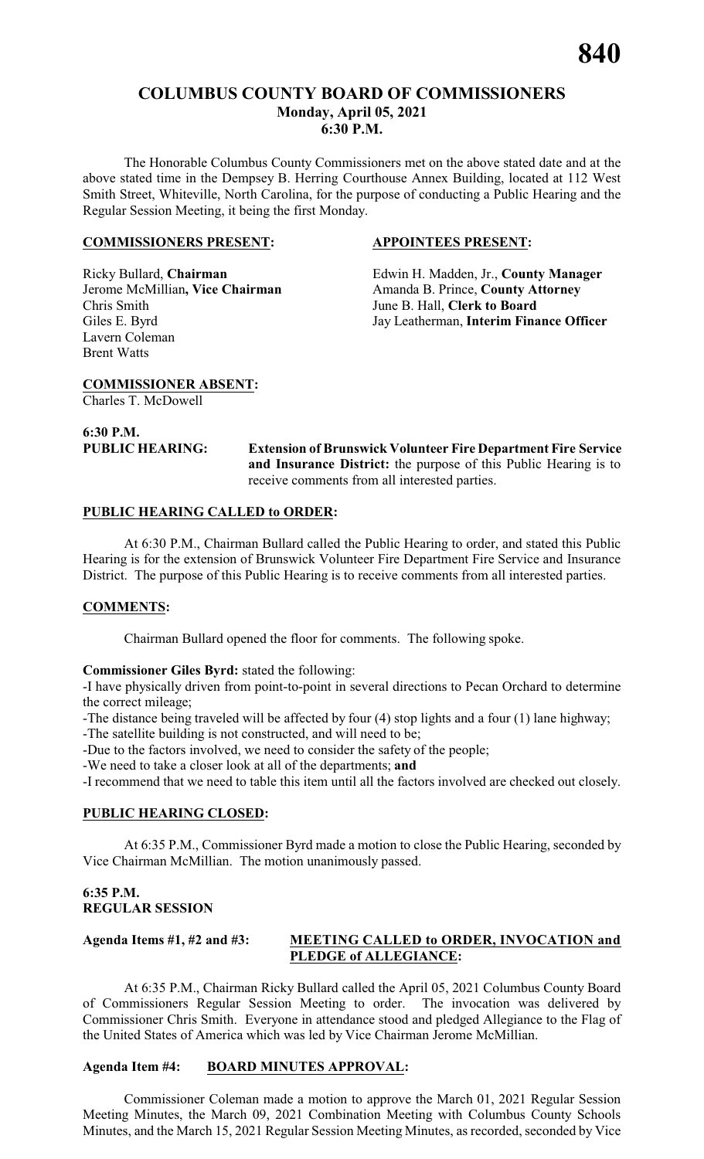# **COLUMBUS COUNTY BOARD OF COMMISSIONERS Monday, April 05, 2021 6:30 P.M.**

The Honorable Columbus County Commissioners met on the above stated date and at the above stated time in the Dempsey B. Herring Courthouse Annex Building, located at 112 West Smith Street, Whiteville, North Carolina, for the purpose of conducting a Public Hearing and the Regular Session Meeting, it being the first Monday.

#### **COMMISSIONERS PRESENT: APPOINTEES PRESENT:**

Chris Smith June B. Hall, **Clerk to Board** Lavern Coleman Brent Watts

Ricky Bullard, **Chairman** Edwin H. Madden, Jr., **County Manager**  Jerome McMillian, Vice Chairman Amanda B. Prince, County Attorney Giles E. Byrd Jay Leatherman, **Interim Finance Officer**

**COMMISSIONER ABSENT:**

Charles T. McDowell

# **6:30 P.M.**

**PUBLIC HEARING: Extension of Brunswick Volunteer Fire Department Fire Service and Insurance District:** the purpose of this Public Hearing is to receive comments from all interested parties.

#### **PUBLIC HEARING CALLED to ORDER:**

At 6:30 P.M., Chairman Bullard called the Public Hearing to order, and stated this Public Hearing is for the extension of Brunswick Volunteer Fire Department Fire Service and Insurance District. The purpose of this Public Hearing is to receive comments from all interested parties.

# **COMMENTS:**

Chairman Bullard opened the floor for comments. The following spoke.

**Commissioner Giles Byrd:** stated the following:

-I have physically driven from point-to-point in several directions to Pecan Orchard to determine the correct mileage;

-The distance being traveled will be affected by four (4) stop lights and a four (1) lane highway;

-The satellite building is not constructed, and will need to be;

-Due to the factors involved, we need to consider the safety of the people;

-We need to take a closer look at all of the departments; **and**

-I recommend that we need to table this item until all the factors involved are checked out closely.

# **PUBLIC HEARING CLOSED:**

At 6:35 P.M., Commissioner Byrd made a motion to close the Public Hearing, seconded by Vice Chairman McMillian. The motion unanimously passed.

# **6:35 P.M. REGULAR SESSION**

# **Agenda Items #1, #2 and #3: MEETING CALLED to ORDER, INVOCATION and PLEDGE of ALLEGIANCE:**

At 6:35 P.M., Chairman Ricky Bullard called the April 05, 2021 Columbus County Board of Commissioners Regular Session Meeting to order. The invocation was delivered by Commissioner Chris Smith. Everyone in attendance stood and pledged Allegiance to the Flag of the United States of America which was led by Vice Chairman Jerome McMillian.

#### **Agenda Item #4: BOARD MINUTES APPROVAL:**

Commissioner Coleman made a motion to approve the March 01, 2021 Regular Session Meeting Minutes, the March 09, 2021 Combination Meeting with Columbus County Schools Minutes, and the March 15, 2021 Regular Session Meeting Minutes, as recorded, seconded by Vice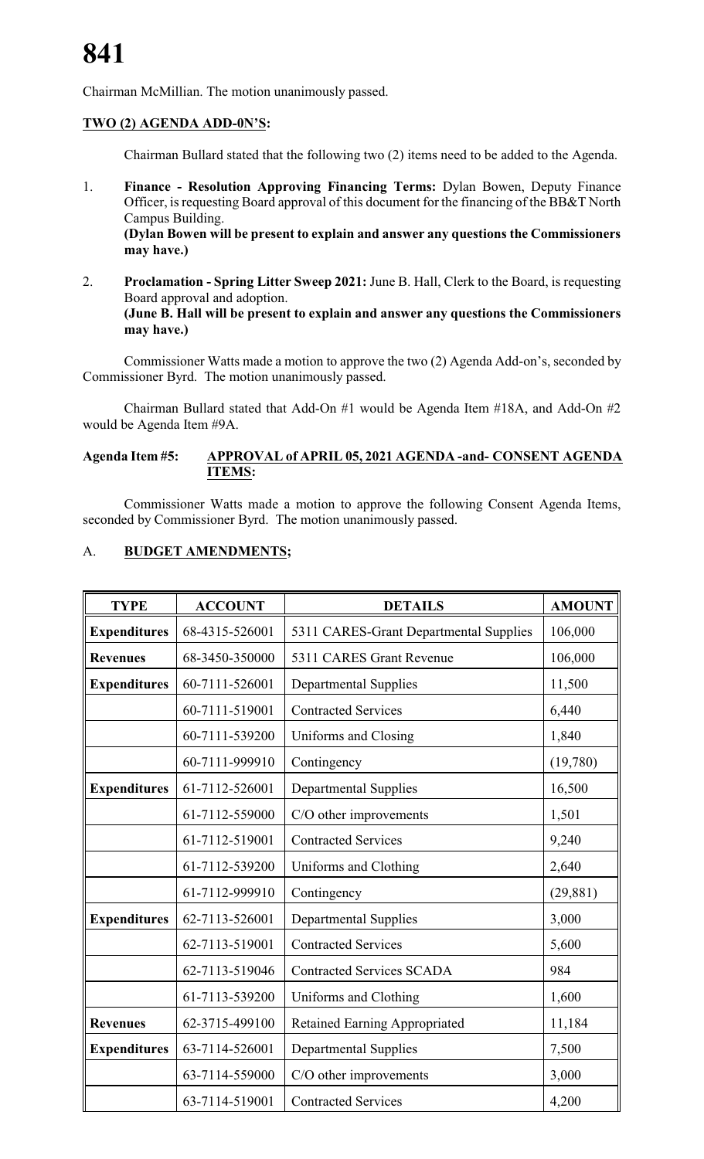Chairman McMillian. The motion unanimously passed.

# **TWO (2) AGENDA ADD-0N'S:**

Chairman Bullard stated that the following two (2) items need to be added to the Agenda.

- 1. **Finance Resolution Approving Financing Terms:** Dylan Bowen, Deputy Finance Officer, is requesting Board approval of this document for the financing of the BB&T North Campus Building. **(Dylan Bowen will be present to explain and answer any questions the Commissioners may have.)**
- 2. **Proclamation Spring Litter Sweep 2021:** June B. Hall, Clerk to the Board, is requesting Board approval and adoption. **(June B. Hall will be present to explain and answer any questions the Commissioners may have.)**

Commissioner Watts made a motion to approve the two (2) Agenda Add-on's, seconded by Commissioner Byrd. The motion unanimously passed.

Chairman Bullard stated that Add-On #1 would be Agenda Item #18A, and Add-On #2 would be Agenda Item #9A.

#### **Agenda Item #5: APPROVAL of APRIL 05, 2021 AGENDA -and- CONSENT AGENDA ITEMS:**

Commissioner Watts made a motion to approve the following Consent Agenda Items, seconded by Commissioner Byrd. The motion unanimously passed.

| <b>TYPE</b>         | <b>ACCOUNT</b> | <b>DETAILS</b>                         | <b>AMOUNT</b> |
|---------------------|----------------|----------------------------------------|---------------|
| <b>Expenditures</b> | 68-4315-526001 | 5311 CARES-Grant Departmental Supplies | 106,000       |
| <b>Revenues</b>     | 68-3450-350000 | 5311 CARES Grant Revenue               | 106,000       |
| <b>Expenditures</b> | 60-7111-526001 | <b>Departmental Supplies</b>           | 11,500        |
|                     | 60-7111-519001 | <b>Contracted Services</b>             | 6,440         |
|                     | 60-7111-539200 | Uniforms and Closing                   | 1,840         |
|                     | 60-7111-999910 | Contingency                            | (19,780)      |
| <b>Expenditures</b> | 61-7112-526001 | <b>Departmental Supplies</b>           | 16,500        |
|                     | 61-7112-559000 | C/O other improvements                 | 1,501         |
|                     | 61-7112-519001 | <b>Contracted Services</b>             | 9,240         |
|                     | 61-7112-539200 | Uniforms and Clothing                  | 2,640         |
|                     | 61-7112-999910 | Contingency                            | (29, 881)     |
| <b>Expenditures</b> | 62-7113-526001 | <b>Departmental Supplies</b>           | 3,000         |
|                     | 62-7113-519001 | <b>Contracted Services</b>             | 5,600         |
|                     | 62-7113-519046 | <b>Contracted Services SCADA</b>       | 984           |
|                     | 61-7113-539200 | Uniforms and Clothing                  | 1,600         |
| <b>Revenues</b>     | 62-3715-499100 | <b>Retained Earning Appropriated</b>   | 11,184        |
| <b>Expenditures</b> | 63-7114-526001 | <b>Departmental Supplies</b>           | 7,500         |
|                     | 63-7114-559000 | C/O other improvements                 | 3,000         |
|                     | 63-7114-519001 | <b>Contracted Services</b>             | 4,200         |

# A. **BUDGET AMENDMENTS;**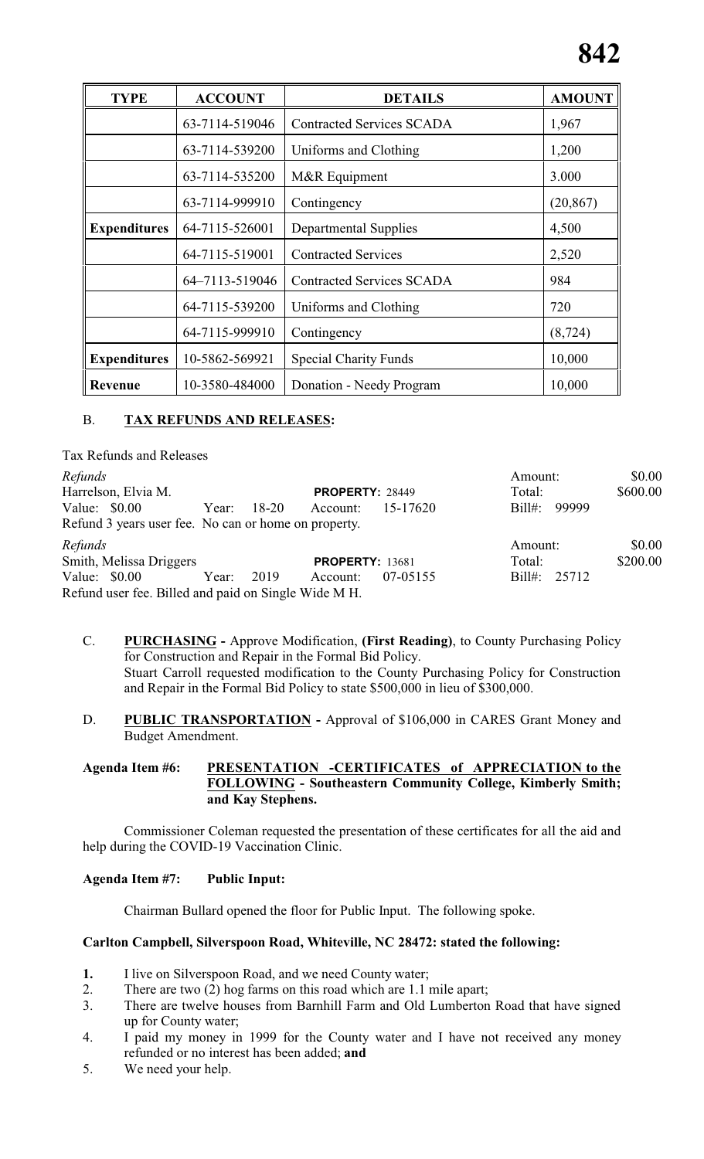| <b>TYPE</b>         | <b>ACCOUNT</b> | <b>DETAILS</b>                   | <b>AMOUNT</b> |
|---------------------|----------------|----------------------------------|---------------|
|                     | 63-7114-519046 | <b>Contracted Services SCADA</b> | 1,967         |
|                     | 63-7114-539200 | Uniforms and Clothing            | 1,200         |
|                     | 63-7114-535200 | M&R Equipment                    | 3.000         |
|                     | 63-7114-999910 | Contingency                      | (20, 867)     |
| <b>Expenditures</b> | 64-7115-526001 | <b>Departmental Supplies</b>     | 4,500         |
|                     | 64-7115-519001 | <b>Contracted Services</b>       | 2,520         |
|                     | 64-7113-519046 | <b>Contracted Services SCADA</b> | 984           |
|                     | 64-7115-539200 | Uniforms and Clothing            | 720           |
|                     | 64-7115-999910 | Contingency                      | (8, 724)      |
| <b>Expenditures</b> | 10-5862-569921 | <b>Special Charity Funds</b>     | 10,000        |
| <b>Revenue</b>      | 10-3580-484000 | Donation - Needy Program         | 10,000        |

# B. **TAX REFUNDS AND RELEASES:**

Tax Refunds and Releases *Refunds* \$0.00 Harrelson, Elvia M. **PROPERTY:** 28449 Total: \$600.00<br>Value: \$0.00 Year: 18-20 Account: 15-17620 Bill#: 99999 Value: \$0.00 Year: 18-20 Account: 15-17620 Refund 3 years user fee. No can or home on property. *Refunds* \$0.00 Smith, Melissa Driggers **PROPERTY:** 13681 Total: \$200.00 Value: \$0.00 Year: 2019 Account: 07-05155 Bill#: 25712 Refund user fee. Billed and paid on Single Wide M H.

- C. **PURCHASING** Approve Modification, **(First Reading)**, to County Purchasing Policy for Construction and Repair in the Formal Bid Policy. Stuart Carroll requested modification to the County Purchasing Policy for Construction and Repair in the Formal Bid Policy to state \$500,000 in lieu of \$300,000.
- D. **PUBLIC TRANSPORTATION** Approval of \$106,000 in CARES Grant Money and Budget Amendment.

**Agenda Item #6: PRESENTATION -CERTIFICATES of APPRECIATION to the FOLLOWING - Southeastern Community College, Kimberly Smith; and Kay Stephens.**

Commissioner Coleman requested the presentation of these certificates for all the aid and help during the COVID-19 Vaccination Clinic.

#### **Agenda Item #7: Public Input:**

Chairman Bullard opened the floor for Public Input. The following spoke.

#### **Carlton Campbell, Silverspoon Road, Whiteville, NC 28472: stated the following:**

- **1.** I live on Silverspoon Road, and we need County water;
- 2. There are two (2) hog farms on this road which are 1.1 mile apart;
- 3. There are twelve houses from Barnhill Farm and Old Lumberton Road that have signed up for County water;
- 4. I paid my money in 1999 for the County water and I have not received any money refunded or no interest has been added; **and**
- 5. We need your help.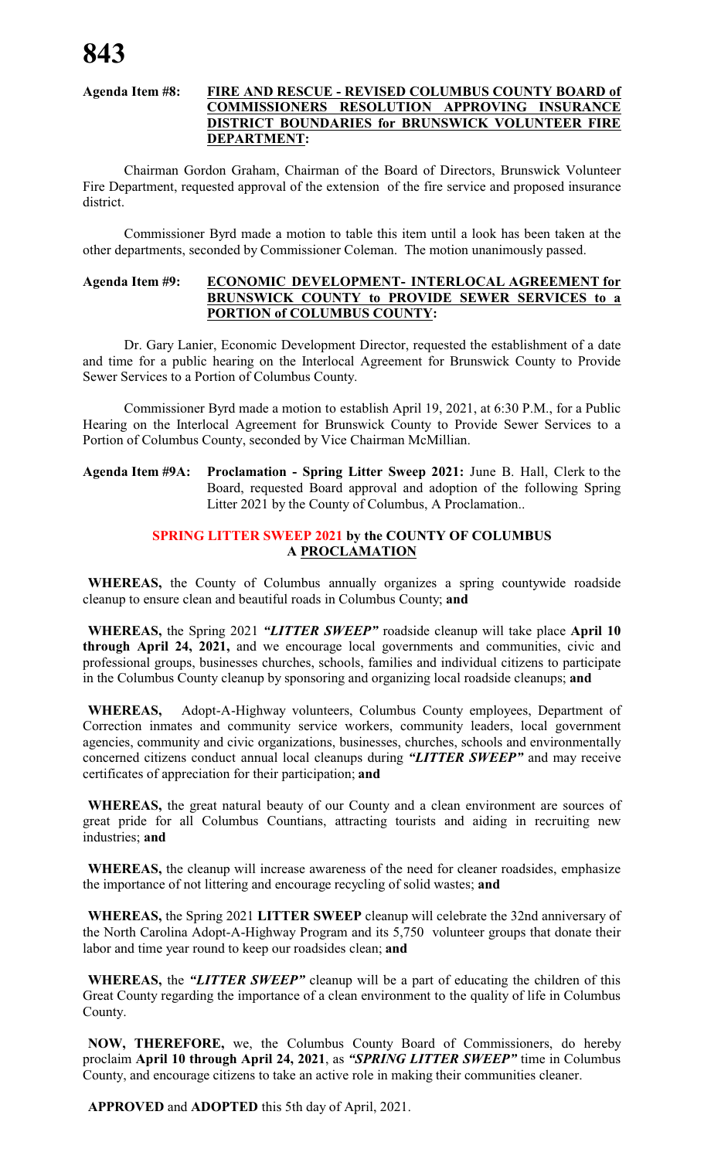# **Agenda Item #8: FIRE AND RESCUE - REVISED COLUMBUS COUNTY BOARD of COMMISSIONERS RESOLUTION APPROVING INSURANCE DISTRICT BOUNDARIES for BRUNSWICK VOLUNTEER FIRE DEPARTMENT:**

Chairman Gordon Graham, Chairman of the Board of Directors, Brunswick Volunteer Fire Department, requested approval of the extension of the fire service and proposed insurance district.

Commissioner Byrd made a motion to table this item until a look has been taken at the other departments, seconded by Commissioner Coleman. The motion unanimously passed.

#### **Agenda Item #9: ECONOMIC DEVELOPMENT- INTERLOCAL AGREEMENT for BRUNSWICK COUNTY to PROVIDE SEWER SERVICES to a PORTION of COLUMBUS COUNTY:**

Dr. Gary Lanier, Economic Development Director, requested the establishment of a date and time for a public hearing on the Interlocal Agreement for Brunswick County to Provide Sewer Services to a Portion of Columbus County.

Commissioner Byrd made a motion to establish April 19, 2021, at 6:30 P.M., for a Public Hearing on the Interlocal Agreement for Brunswick County to Provide Sewer Services to a Portion of Columbus County, seconded by Vice Chairman McMillian.

# **Agenda Item #9A: Proclamation - Spring Litter Sweep 2021:** June B. Hall, Clerk to the Board, requested Board approval and adoption of the following Spring Litter 2021 by the County of Columbus, A Proclamation..

# **SPRING LITTER SWEEP 2021 by the COUNTY OF COLUMBUS A PROCLAMATION**

**WHEREAS,** the County of Columbus annually organizes a spring countywide roadside cleanup to ensure clean and beautiful roads in Columbus County; **and**

**WHEREAS,** the Spring 2021 *"LITTER SWEEP"* roadside cleanup will take place **April 10 through April 24, 2021,** and we encourage local governments and communities, civic and professional groups, businesses churches, schools, families and individual citizens to participate in the Columbus County cleanup by sponsoring and organizing local roadside cleanups; **and**

**WHEREAS,** Adopt-A-Highway volunteers, Columbus County employees, Department of Correction inmates and community service workers, community leaders, local government agencies, community and civic organizations, businesses, churches, schools and environmentally concerned citizens conduct annual local cleanups during *"LITTER SWEEP"* and may receive certificates of appreciation for their participation; **and**

**WHEREAS,** the great natural beauty of our County and a clean environment are sources of great pride for all Columbus Countians, attracting tourists and aiding in recruiting new industries; **and**

**WHEREAS,** the cleanup will increase awareness of the need for cleaner roadsides, emphasize the importance of not littering and encourage recycling of solid wastes; **and**

**WHEREAS,** the Spring 2021 **LITTER SWEEP** cleanup will celebrate the 32nd anniversary of the North Carolina Adopt-A-Highway Program and its 5,750 volunteer groups that donate their labor and time year round to keep our roadsides clean; **and**

**WHEREAS,** the *"LITTER SWEEP"* cleanup will be a part of educating the children of this Great County regarding the importance of a clean environment to the quality of life in Columbus County.

**NOW, THEREFORE,** we, the Columbus County Board of Commissioners, do hereby proclaim **April 10 through April 24, 2021**, as *"SPRING LITTER SWEEP"* time in Columbus County, and encourage citizens to take an active role in making their communities cleaner.

**APPROVED** and **ADOPTED** this 5th day of April, 2021.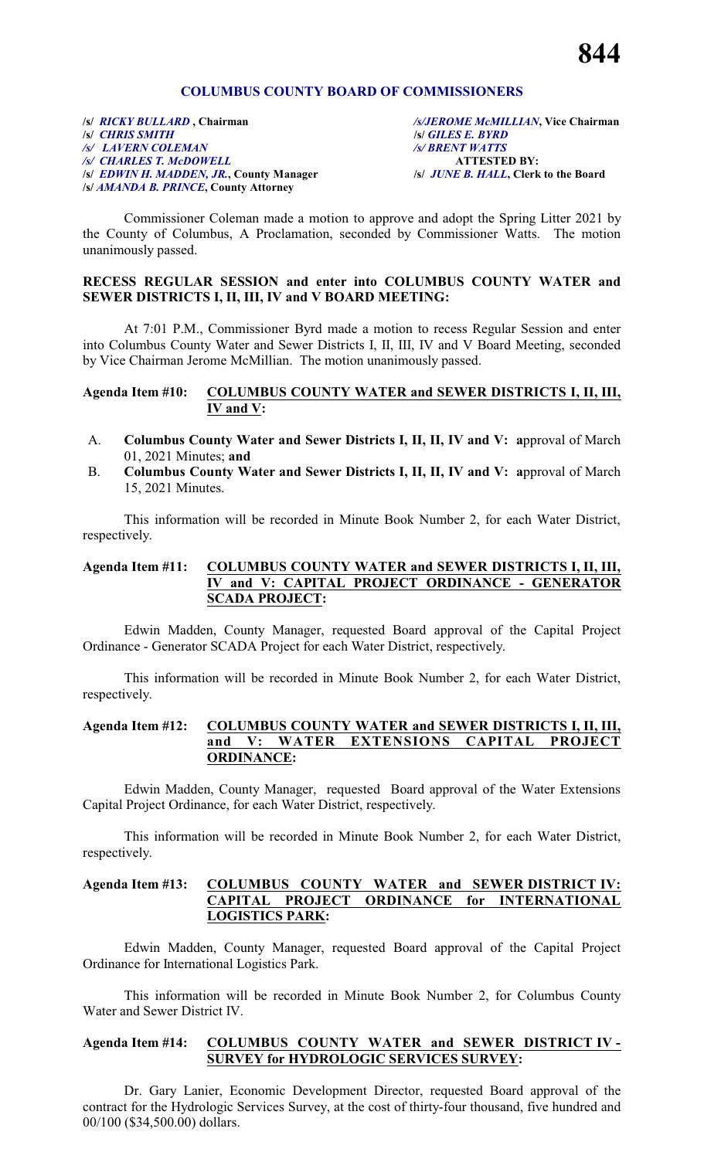#### **COLUMBUS COUNTY BOARD OF COMMISSIONERS**

**/s/** *RICKY BULLARD* **, Chairman** */s/JEROME McMILLIAN***, Vice Chairman /s/** *CHRIS SMITH* **/s/** *GILES E. BYRD /s/ LAVERN COLEMAN /s/ BRENT WATTS /s/ CHARLES T. McDOWELL* **ATTESTED BY: /s/** *EDWIN H. MADDEN, JR.***, County Manager /s/** *JUNE B. HALL***, Clerk to the Board /s/** *AMANDA B. PRINCE***, County Attorney**

Commissioner Coleman made a motion to approve and adopt the Spring Litter 2021 by the County of Columbus, A Proclamation, seconded by Commissioner Watts. The motion unanimously passed.

#### **RECESS REGULAR SESSION and enter into COLUMBUS COUNTY WATER and SEWER DISTRICTS I, II, III, IV and V BOARD MEETING:**

At 7:01 P.M., Commissioner Byrd made a motion to recess Regular Session and enter into Columbus County Water and Sewer Districts I, II, III, IV and V Board Meeting, seconded by Vice Chairman Jerome McMillian. The motion unanimously passed.

#### **Agenda Item #10: COLUMBUS COUNTY WATER and SEWER DISTRICTS I, II, III, IV and V:**

- A. **Columbus County Water and Sewer Districts I, II, II, IV and V: a**pproval of March 01, 2021 Minutes; **and**
- B. **Columbus County Water and Sewer Districts I, II, II, IV and V: a**pproval of March 15, 2021 Minutes.

This information will be recorded in Minute Book Number 2, for each Water District, respectively.

#### **Agenda Item #11: COLUMBUS COUNTY WATER and SEWER DISTRICTS I, II, III, IV and V: CAPITAL PROJECT ORDINANCE - GENERATOR SCADA PROJECT:**

Edwin Madden, County Manager, requested Board approval of the Capital Project Ordinance - Generator SCADA Project for each Water District, respectively.

This information will be recorded in Minute Book Number 2, for each Water District, respectively.

#### **Agenda Item #12: COLUMBUS COUNTY WATER and SEWER DISTRICTS I, II, III, and V: WATER EXTENSIONS CAPITAL PROJECT ORDINANCE:**

Edwin Madden, County Manager, requested Board approval of the Water Extensions Capital Project Ordinance, for each Water District, respectively.

This information will be recorded in Minute Book Number 2, for each Water District, respectively.

#### **Agenda Item #13: COLUMBUS COUNTY WATER and SEWER DISTRICT IV: CAPITAL PROJECT ORDINANCE for INTERNATIONAL LOGISTICS PARK:**

Edwin Madden, County Manager, requested Board approval of the Capital Project Ordinance for International Logistics Park.

This information will be recorded in Minute Book Number 2, for Columbus County Water and Sewer District IV.

#### **Agenda Item #14: COLUMBUS COUNTY WATER and SEWER DISTRICT IV - SURVEY for HYDROLOGIC SERVICES SURVEY:**

Dr. Gary Lanier, Economic Development Director, requested Board approval of the contract for the Hydrologic Services Survey, at the cost of thirty-four thousand, five hundred and 00/100 (\$34,500.00) dollars.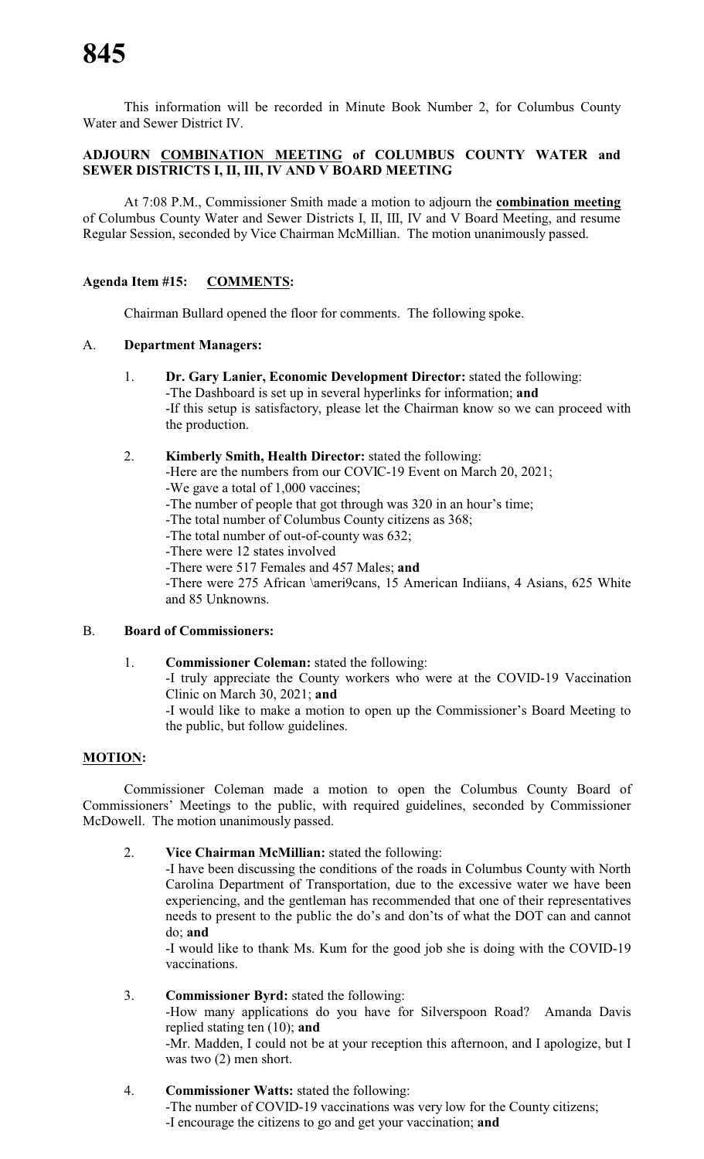This information will be recorded in Minute Book Number 2, for Columbus County Water and Sewer District IV.

# **ADJOURN COMBINATION MEETING of COLUMBUS COUNTY WATER and SEWER DISTRICTS I, II, III, IV AND V BOARD MEETING**

At 7:08 P.M., Commissioner Smith made a motion to adjourn the **combination meeting** of Columbus County Water and Sewer Districts I, II, III, IV and V Board Meeting, and resume Regular Session, seconded by Vice Chairman McMillian. The motion unanimously passed.

# **Agenda Item #15: COMMENTS:**

Chairman Bullard opened the floor for comments. The following spoke.

#### A. **Department Managers:**

- 1. **Dr. Gary Lanier, Economic Development Director:** stated the following: -The Dashboard is set up in several hyperlinks for information; **and** -If this setup is satisfactory, please let the Chairman know so we can proceed with the production.
- 2. **Kimberly Smith, Health Director:** stated the following:

-Here are the numbers from our COVIC-19 Event on March 20, 2021; -We gave a total of 1,000 vaccines;

- -The number of people that got through was 320 in an hour's time;
- -The total number of Columbus County citizens as 368;
- -The total number of out-of-county was 632;
- -There were 12 states involved
- -There were 517 Females and 457 Males; **and**

-There were 275 African \ameri9cans, 15 American Indiians, 4 Asians, 625 White and 85 Unknowns.

# B. **Board of Commissioners:**

1. **Commissioner Coleman:** stated the following: -I truly appreciate the County workers who were at the COVID-19 Vaccination Clinic on March 30, 2021; **and** -I would like to make a motion to open up the Commissioner's Board Meeting to the public, but follow guidelines.

# **MOTION:**

Commissioner Coleman made a motion to open the Columbus County Board of Commissioners' Meetings to the public, with required guidelines, seconded by Commissioner McDowell. The motion unanimously passed.

2. **Vice Chairman McMillian:** stated the following:

-I have been discussing the conditions of the roads in Columbus County with North Carolina Department of Transportation, due to the excessive water we have been experiencing, and the gentleman has recommended that one of their representatives needs to present to the public the do's and don'ts of what the DOT can and cannot do; **and**

-I would like to thank Ms. Kum for the good job she is doing with the COVID-19 vaccinations.

3. **Commissioner Byrd:** stated the following:

-How many applications do you have for Silverspoon Road? Amanda Davis replied stating ten (10); **and**

-Mr. Madden, I could not be at your reception this afternoon, and I apologize, but I was two (2) men short.

4. **Commissioner Watts:** stated the following:

-The number of COVID-19 vaccinations was very low for the County citizens; -I encourage the citizens to go and get your vaccination; **and**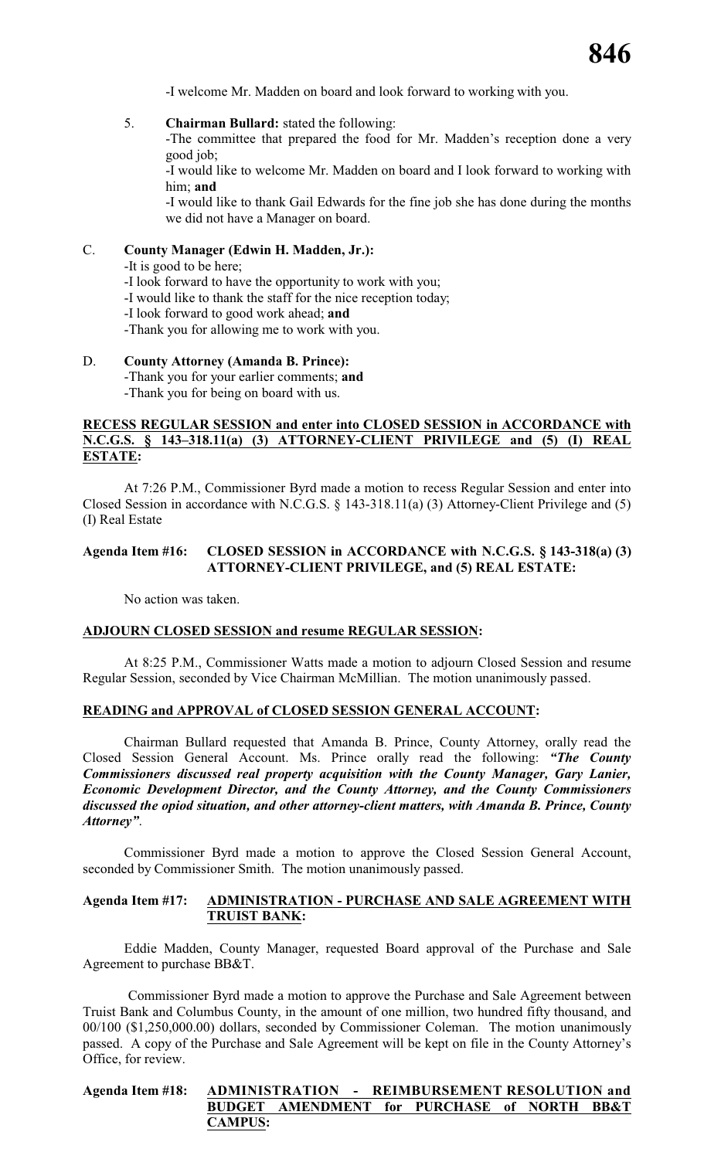-I welcome Mr. Madden on board and look forward to working with you.

5. **Chairman Bullard:** stated the following:

-The committee that prepared the food for Mr. Madden's reception done a very good job;

-I would like to welcome Mr. Madden on board and I look forward to working with him; **and**

-I would like to thank Gail Edwards for the fine job she has done during the months we did not have a Manager on board.

# C. **County Manager (Edwin H. Madden, Jr.):**

-It is good to be here;

- -I look forward to have the opportunity to work with you;
- -I would like to thank the staff for the nice reception today;
- -I look forward to good work ahead; **and**
- -Thank you for allowing me to work with you.

# D. **County Attorney (Amanda B. Prince):**

-Thank you for your earlier comments; **and**

-Thank you for being on board with us.

#### **RECESS REGULAR SESSION and enter into CLOSED SESSION in ACCORDANCE with N.C.G.S. § 143–318.11(a) (3) ATTORNEY-CLIENT PRIVILEGE and (5) (I) REAL ESTATE:**

At 7:26 P.M., Commissioner Byrd made a motion to recess Regular Session and enter into Closed Session in accordance with N.C.G.S. § 143-318.11(a) (3) Attorney-Client Privilege and (5) (I) Real Estate

## **Agenda Item #16: CLOSED SESSION in ACCORDANCE with N.C.G.S. § 143-318(a) (3) ATTORNEY-CLIENT PRIVILEGE, and (5) REAL ESTATE:**

No action was taken.

#### **ADJOURN CLOSED SESSION and resume REGULAR SESSION:**

At 8:25 P.M., Commissioner Watts made a motion to adjourn Closed Session and resume Regular Session, seconded by Vice Chairman McMillian. The motion unanimously passed.

#### **READING and APPROVAL of CLOSED SESSION GENERAL ACCOUNT:**

Chairman Bullard requested that Amanda B. Prince, County Attorney, orally read the Closed Session General Account. Ms. Prince orally read the following: *"The County Commissioners discussed real property acquisition with the County Manager, Gary Lanier, Economic Development Director, and the County Attorney, and the County Commissioners discussed the opiod situation, and other attorney-client matters, with Amanda B. Prince, County Attorney"*.

Commissioner Byrd made a motion to approve the Closed Session General Account, seconded by Commissioner Smith. The motion unanimously passed.

#### **Agenda Item #17: ADMINISTRATION - PURCHASE AND SALE AGREEMENT WITH TRUIST BANK:**

Eddie Madden, County Manager, requested Board approval of the Purchase and Sale Agreement to purchase BB&T.

Commissioner Byrd made a motion to approve the Purchase and Sale Agreement between Truist Bank and Columbus County, in the amount of one million, two hundred fifty thousand, and 00/100 (\$1,250,000.00) dollars, seconded by Commissioner Coleman. The motion unanimously passed. A copy of the Purchase and Sale Agreement will be kept on file in the County Attorney's Office, for review.

| Agenda Item #18: ADMINISTRATION - REIMBURSEMENT RESOLUTION and |                |                                             |  |  |  |
|----------------------------------------------------------------|----------------|---------------------------------------------|--|--|--|
|                                                                |                | BUDGET AMENDMENT for PURCHASE of NORTH BB&T |  |  |  |
|                                                                | <b>CAMPUS:</b> |                                             |  |  |  |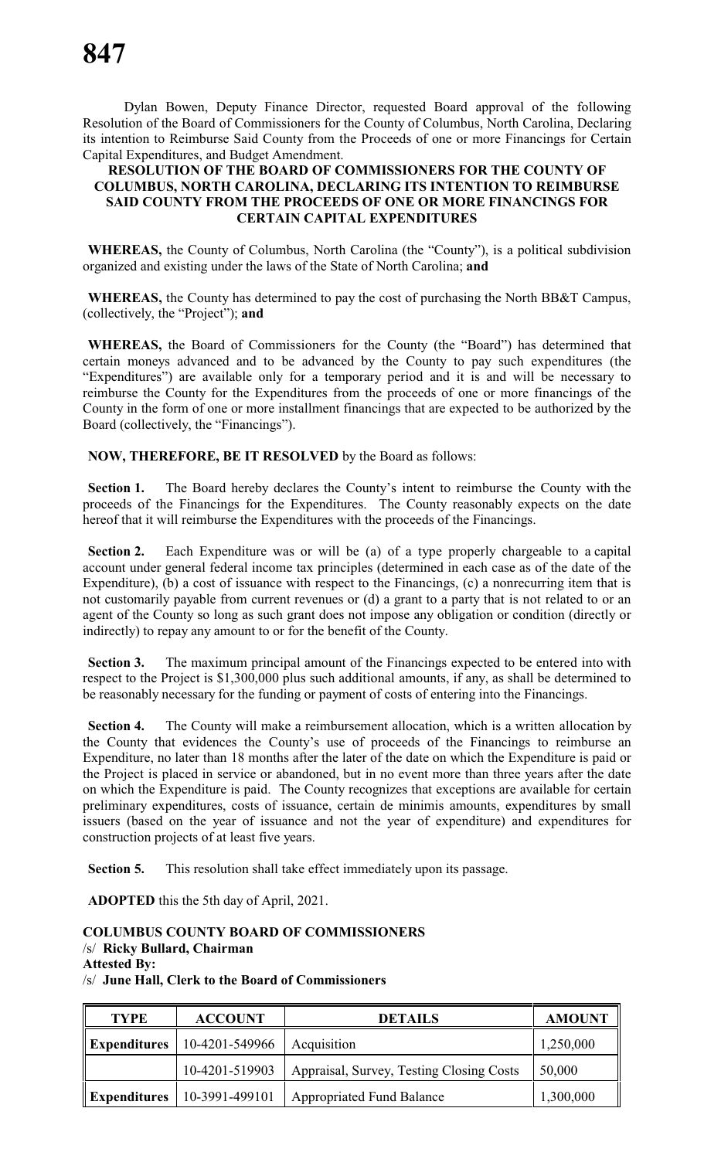Dylan Bowen, Deputy Finance Director, requested Board approval of the following Resolution of the Board of Commissioners for the County of Columbus, North Carolina, Declaring its intention to Reimburse Said County from the Proceeds of one or more Financings for Certain Capital Expenditures, and Budget Amendment.

#### **RESOLUTION OF THE BOARD OF COMMISSIONERS FOR THE COUNTY OF COLUMBUS, NORTH CAROLINA, DECLARING ITS INTENTION TO REIMBURSE SAID COUNTY FROM THE PROCEEDS OF ONE OR MORE FINANCINGS FOR CERTAIN CAPITAL EXPENDITURES**

**WHEREAS,** the County of Columbus, North Carolina (the "County"), is a political subdivision organized and existing under the laws of the State of North Carolina; **and**

**WHEREAS,** the County has determined to pay the cost of purchasing the North BB&T Campus, (collectively, the "Project"); **and**

**WHEREAS,** the Board of Commissioners for the County (the "Board") has determined that certain moneys advanced and to be advanced by the County to pay such expenditures (the "Expenditures") are available only for a temporary period and it is and will be necessary to reimburse the County for the Expenditures from the proceeds of one or more financings of the County in the form of one or more installment financings that are expected to be authorized by the Board (collectively, the "Financings").

**NOW, THEREFORE, BE IT RESOLVED** by the Board as follows:

**Section 1.** The Board hereby declares the County's intent to reimburse the County with the proceeds of the Financings for the Expenditures. The County reasonably expects on the date hereof that it will reimburse the Expenditures with the proceeds of the Financings.

**Section 2.** Each Expenditure was or will be (a) of a type properly chargeable to a capital account under general federal income tax principles (determined in each case as of the date of the Expenditure), (b) a cost of issuance with respect to the Financings, (c) a nonrecurring item that is not customarily payable from current revenues or (d) a grant to a party that is not related to or an agent of the County so long as such grant does not impose any obligation or condition (directly or indirectly) to repay any amount to or for the benefit of the County.

**Section 3.** The maximum principal amount of the Financings expected to be entered into with respect to the Project is \$1,300,000 plus such additional amounts, if any, as shall be determined to be reasonably necessary for the funding or payment of costs of entering into the Financings.

**Section 4.** The County will make a reimbursement allocation, which is a written allocation by the County that evidences the County's use of proceeds of the Financings to reimburse an Expenditure, no later than 18 months after the later of the date on which the Expenditure is paid or the Project is placed in service or abandoned, but in no event more than three years after the date on which the Expenditure is paid. The County recognizes that exceptions are available for certain preliminary expenditures, costs of issuance, certain de minimis amounts, expenditures by small issuers (based on the year of issuance and not the year of expenditure) and expenditures for construction projects of at least five years.

**Section 5.** This resolution shall take effect immediately upon its passage.

**ADOPTED** this the 5th day of April, 2021.

# **COLUMBUS COUNTY BOARD OF COMMISSIONERS**

# /s/ **Ricky Bullard, Chairman**

**Attested By:**

/s/ **June Hall, Clerk to the Board of Commissioners**

| <b>TYPE</b>              | <b>ACCOUNT</b> | <b>DETAILS</b>                           | <b>AMOUNT</b> |
|--------------------------|----------------|------------------------------------------|---------------|
| $\parallel$ Expenditures | 10-4201-549966 | Acquisition                              | 1,250,000     |
|                          | 10-4201-519903 | Appraisal, Survey, Testing Closing Costs | 50,000        |
| $\parallel$ Expenditures | 10-3991-499101 | <b>Appropriated Fund Balance</b>         | 1,300,000     |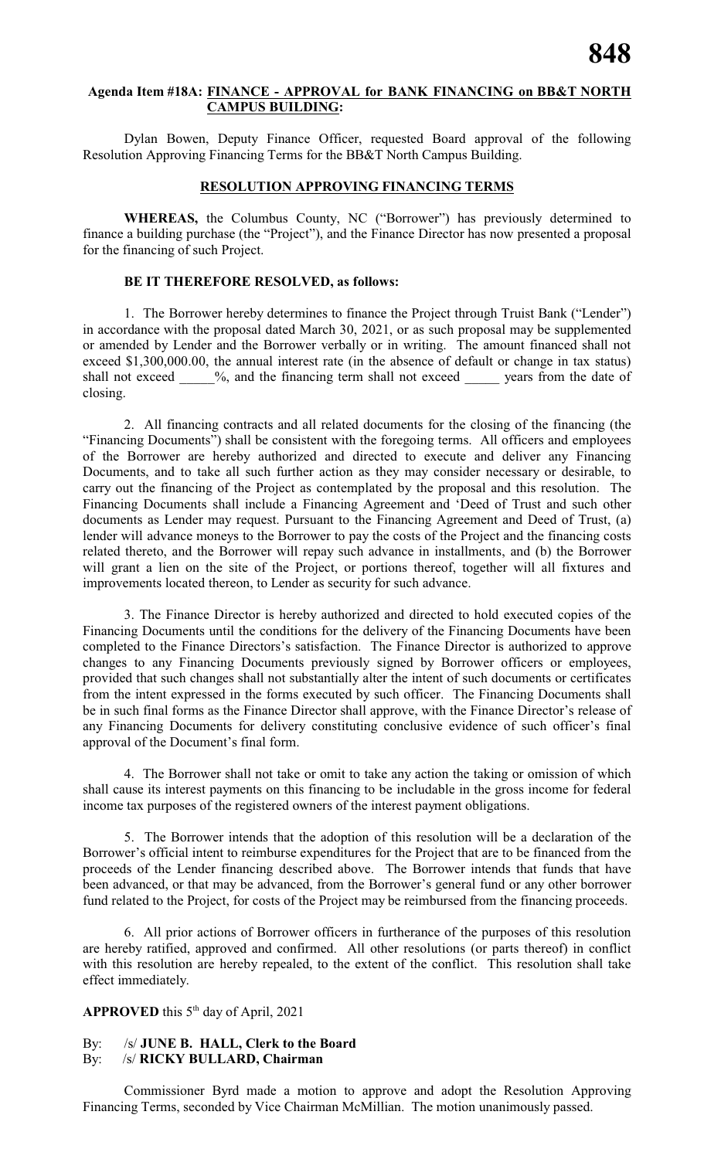# **Agenda Item #18A: FINANCE - APPROVAL for BANK FINANCING on BB&T NORTH CAMPUS BUILDING:**

Dylan Bowen, Deputy Finance Officer, requested Board approval of the following Resolution Approving Financing Terms for the BB&T North Campus Building.

## **RESOLUTION APPROVING FINANCING TERMS**

**WHEREAS,** the Columbus County, NC ("Borrower") has previously determined to finance a building purchase (the "Project"), and the Finance Director has now presented a proposal for the financing of such Project.

## **BE IT THEREFORE RESOLVED, as follows:**

1. The Borrower hereby determines to finance the Project through Truist Bank ("Lender") in accordance with the proposal dated March 30, 2021, or as such proposal may be supplemented or amended by Lender and the Borrower verbally or in writing. The amount financed shall not exceed \$1,300,000.00, the annual interest rate (in the absence of default or change in tax status) shall not exceed  $\frac{9}{6}$ , and the financing term shall not exceed years from the date of closing.

2. All financing contracts and all related documents for the closing of the financing (the "Financing Documents") shall be consistent with the foregoing terms. All officers and employees of the Borrower are hereby authorized and directed to execute and deliver any Financing Documents, and to take all such further action as they may consider necessary or desirable, to carry out the financing of the Project as contemplated by the proposal and this resolution. The Financing Documents shall include a Financing Agreement and 'Deed of Trust and such other documents as Lender may request. Pursuant to the Financing Agreement and Deed of Trust, (a) lender will advance moneys to the Borrower to pay the costs of the Project and the financing costs related thereto, and the Borrower will repay such advance in installments, and (b) the Borrower will grant a lien on the site of the Project, or portions thereof, together will all fixtures and improvements located thereon, to Lender as security for such advance.

3. The Finance Director is hereby authorized and directed to hold executed copies of the Financing Documents until the conditions for the delivery of the Financing Documents have been completed to the Finance Directors's satisfaction. The Finance Director is authorized to approve changes to any Financing Documents previously signed by Borrower officers or employees, provided that such changes shall not substantially alter the intent of such documents or certificates from the intent expressed in the forms executed by such officer. The Financing Documents shall be in such final forms as the Finance Director shall approve, with the Finance Director's release of any Financing Documents for delivery constituting conclusive evidence of such officer's final approval of the Document's final form.

4. The Borrower shall not take or omit to take any action the taking or omission of which shall cause its interest payments on this financing to be includable in the gross income for federal income tax purposes of the registered owners of the interest payment obligations.

5. The Borrower intends that the adoption of this resolution will be a declaration of the Borrower's official intent to reimburse expenditures for the Project that are to be financed from the proceeds of the Lender financing described above. The Borrower intends that funds that have been advanced, or that may be advanced, from the Borrower's general fund or any other borrower fund related to the Project, for costs of the Project may be reimbursed from the financing proceeds.

6. All prior actions of Borrower officers in furtherance of the purposes of this resolution are hereby ratified, approved and confirmed. All other resolutions (or parts thereof) in conflict with this resolution are hereby repealed, to the extent of the conflict. This resolution shall take effect immediately.

# APPROVED this 5<sup>th</sup> day of April, 2021

#### By: /s/ **JUNE B. HALL, Clerk to the Board** By: /s/ **RICKY BULLARD, Chairman**

Commissioner Byrd made a motion to approve and adopt the Resolution Approving Financing Terms, seconded by Vice Chairman McMillian. The motion unanimously passed.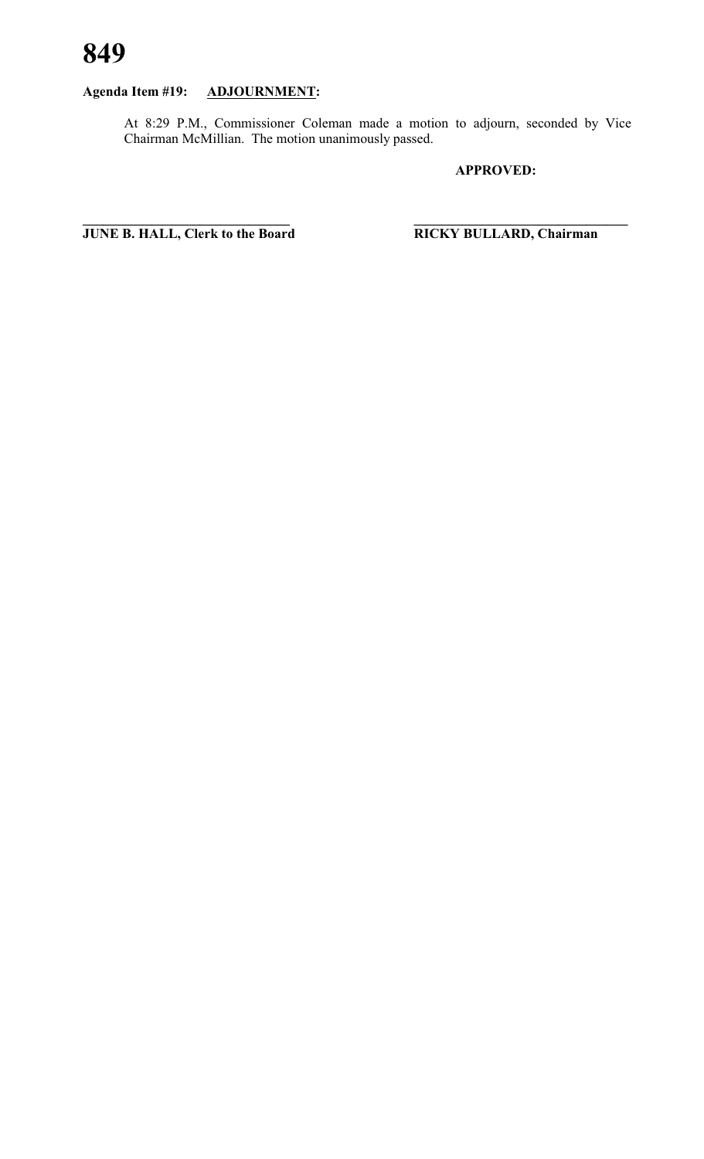# **Agenda Item #19: ADJOURNMENT:**

At 8:29 P.M., Commissioner Coleman made a motion to adjourn, seconded by Vice Chairman McMillian. The motion unanimously passed.

**APPROVED:**

**\_\_\_\_\_\_\_\_\_\_\_\_\_\_\_\_\_\_\_\_\_\_\_\_\_\_\_\_\_\_ \_\_\_\_\_\_\_\_\_\_\_\_\_\_\_\_\_\_\_\_\_\_\_\_\_\_\_\_\_\_\_ JUNE B. HALL, Clerk to the Board RICKY BULLARD, Chairman**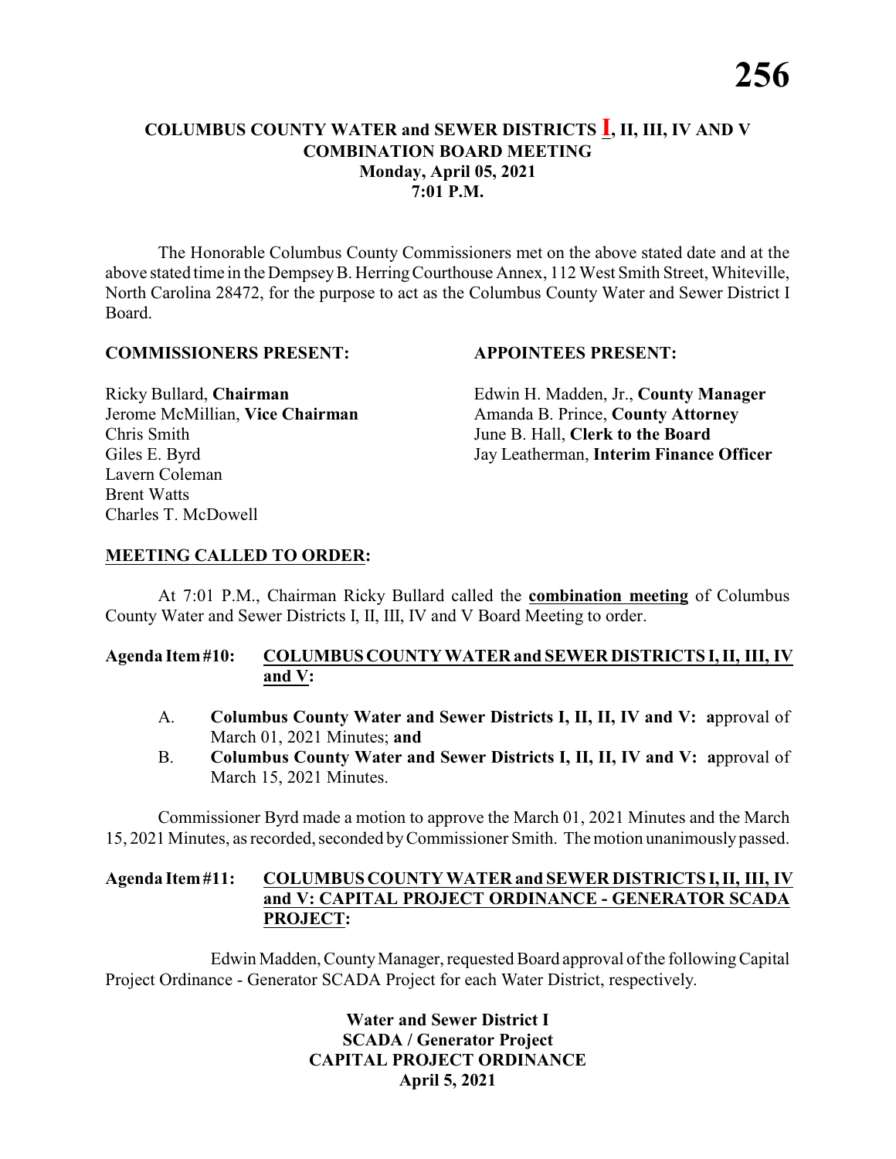# **COLUMBUS COUNTY WATER and SEWER DISTRICTS I, II, III, IV AND V COMBINATION BOARD MEETING Monday, April 05, 2021 7:01 P.M.**

The Honorable Columbus County Commissioners met on the above stated date and at the above stated time in the DempseyB. HerringCourthouse Annex, 112 West Smith Street, Whiteville, North Carolina 28472, for the purpose to act as the Columbus County Water and Sewer District I Board.

#### **COMMISSIONERS PRESENT: APPOINTEES PRESENT:**

Chris Smith June B. Hall, **Clerk to the Board** Lavern Coleman Brent Watts Charles T. McDowell

Ricky Bullard, **Chairman** Edwin H. Madden, Jr., **County Manager** Jerome McMillian, **Vice Chairman** Amanda B. Prince, **County Attorney** Giles E. Byrd Jay Leatherman, **Interim Finance Officer**

# **MEETING CALLED TO ORDER:**

At 7:01 P.M., Chairman Ricky Bullard called the **combination meeting** of Columbus County Water and Sewer Districts I, II, III, IV and V Board Meeting to order.

### **Agenda Item#10: COLUMBUSCOUNTY WATER and SEWER DISTRICTS I, II, III, IV and V:**

- A. **Columbus County Water and Sewer Districts I, II, II, IV and V: a**pproval of March 01, 2021 Minutes; **and**
- B. **Columbus County Water and Sewer Districts I, II, II, IV and V: a**pproval of March 15, 2021 Minutes.

Commissioner Byrd made a motion to approve the March 01, 2021 Minutes and the March 15, 2021 Minutes, as recorded, seconded byCommissioner Smith. The motion unanimouslypassed.

#### **Agenda Item#11: COLUMBUS COUNTY WATER and SEWER DISTRICTSI,II, III, IV and V: CAPITAL PROJECT ORDINANCE - GENERATOR SCADA PROJECT:**

Edwin Madden, County Manager, requested Board approval of the following Capital Project Ordinance - Generator SCADA Project for each Water District, respectively.

> **Water and Sewer District I SCADA / Generator Project CAPITAL PROJECT ORDINANCE April 5, 2021**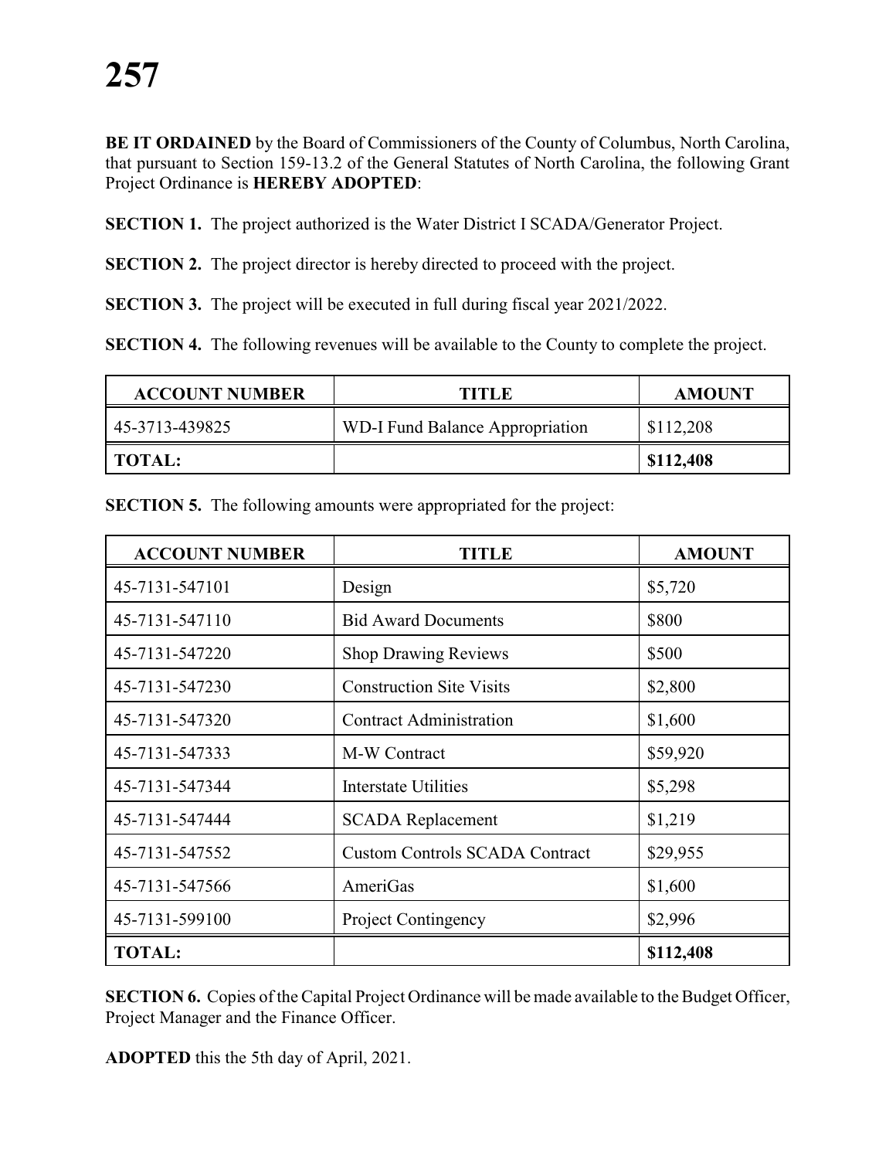**BE IT ORDAINED** by the Board of Commissioners of the County of Columbus, North Carolina, that pursuant to Section 159-13.2 of the General Statutes of North Carolina, the following Grant Project Ordinance is **HEREBY ADOPTED**:

**SECTION 1.** The project authorized is the Water District I SCADA/Generator Project.

**SECTION 2.** The project director is hereby directed to proceed with the project.

**SECTION 3.** The project will be executed in full during fiscal year 2021/2022.

**SECTION 4.** The following revenues will be available to the County to complete the project.

| <b>ACCOUNT NUMBER</b> | TITLE                           | <b>AMOUNT</b> |
|-----------------------|---------------------------------|---------------|
| 45-3713-439825        | WD-I Fund Balance Appropriation | \$112,208     |
| TOTAL:                |                                 | \$112,408     |

| <b>ACCOUNT NUMBER</b> | TITLE                                 | <b>AMOUNT</b> |
|-----------------------|---------------------------------------|---------------|
| 45-7131-547101        | Design                                | \$5,720       |
| 45-7131-547110        | <b>Bid Award Documents</b>            | \$800         |
| 45-7131-547220        | <b>Shop Drawing Reviews</b>           | \$500         |
| 45-7131-547230        | <b>Construction Site Visits</b>       | \$2,800       |
| 45-7131-547320        | <b>Contract Administration</b>        | \$1,600       |
| 45-7131-547333        | M-W Contract                          | \$59,920      |
| 45-7131-547344        | <b>Interstate Utilities</b>           | \$5,298       |
| 45-7131-547444        | <b>SCADA Replacement</b>              | \$1,219       |
| 45-7131-547552        | <b>Custom Controls SCADA Contract</b> | \$29,955      |
| 45-7131-547566        | AmeriGas                              | \$1,600       |
| 45-7131-599100        | <b>Project Contingency</b>            | \$2,996       |
| <b>TOTAL:</b>         |                                       | \$112,408     |
|                       |                                       |               |

**SECTION 5.** The following amounts were appropriated for the project:

**SECTION 6.** Copies of the Capital Project Ordinance will be made available to the Budget Officer, Project Manager and the Finance Officer.

**ADOPTED** this the 5th day of April, 2021.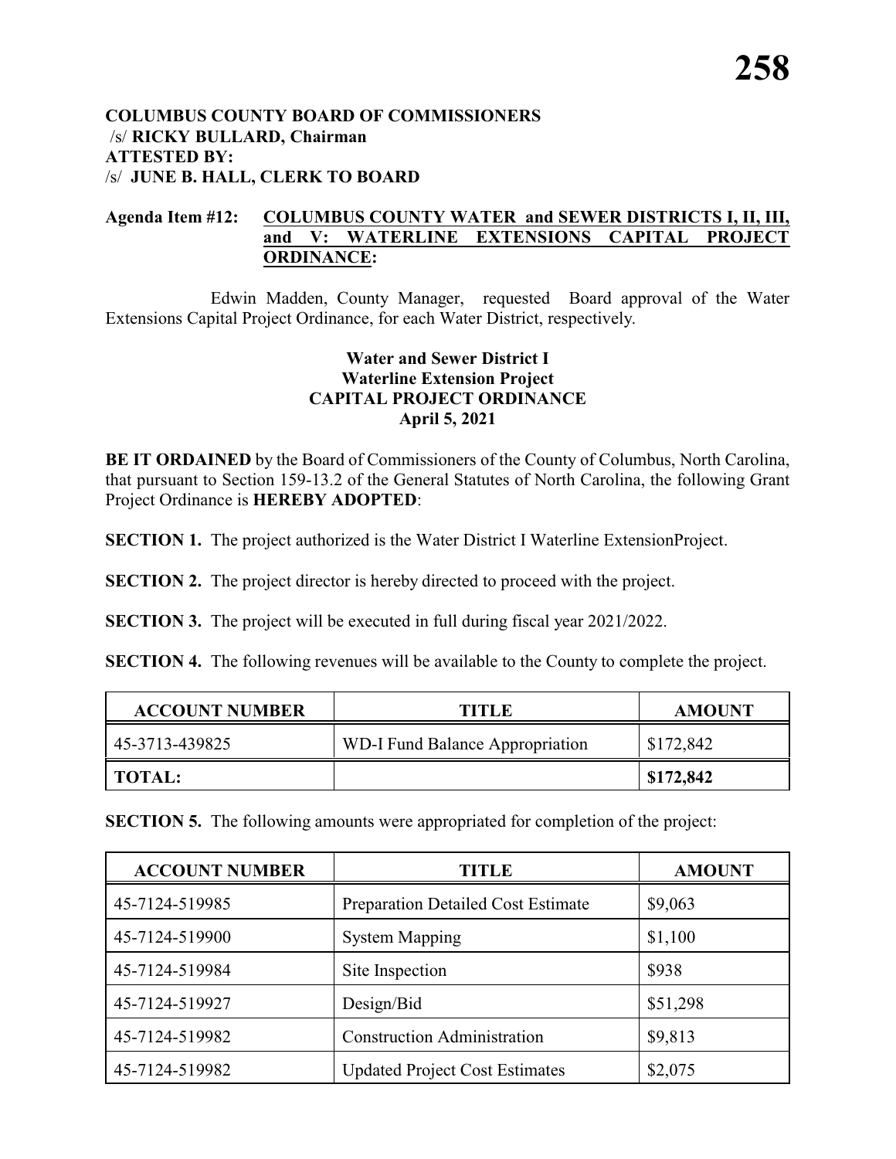#### **COLUMBUS COUNTY BOARD OF COMMISSIONERS** /s/ **RICKY BULLARD, Chairman ATTESTED BY:**  /s/ **JUNE B. HALL, CLERK TO BOARD**

## **Agenda Item #12: COLUMBUS COUNTY WATER and SEWER DISTRICTS I, II, III, and V: WATERLINE EXTENSIONS CAPITAL PROJECT ORDINANCE:**

Edwin Madden, County Manager, requested Board approval of the Water Extensions Capital Project Ordinance, for each Water District, respectively.

### **Water and Sewer District I Waterline Extension Project CAPITAL PROJECT ORDINANCE April 5, 2021**

**BE IT ORDAINED** by the Board of Commissioners of the County of Columbus, North Carolina, that pursuant to Section 159-13.2 of the General Statutes of North Carolina, the following Grant Project Ordinance is **HEREBY ADOPTED**:

**SECTION 1.** The project authorized is the Water District I Waterline ExtensionProject.

**SECTION 2.** The project director is hereby directed to proceed with the project.

**SECTION 3.** The project will be executed in full during fiscal year 2021/2022.

**SECTION 4.** The following revenues will be available to the County to complete the project.

| <b>ACCOUNT NUMBER</b> | <b>TITLE</b>                    | <b>AMOUNT</b> |
|-----------------------|---------------------------------|---------------|
| 45-3713-439825        | WD-I Fund Balance Appropriation | \$172,842     |
| <b>TOTAL:</b>         |                                 | \$172,842     |

**SECTION 5.** The following amounts were appropriated for completion of the project:

| <b>ACCOUNT NUMBER</b> | TITLE                                 | <b>AMOUNT</b> |
|-----------------------|---------------------------------------|---------------|
| 45-7124-519985        | Preparation Detailed Cost Estimate    | \$9,063       |
| 45-7124-519900        | <b>System Mapping</b>                 | \$1,100       |
| 45-7124-519984        | Site Inspection                       | \$938         |
| 45-7124-519927        | Design/Bid                            | \$51,298      |
| 45-7124-519982        | <b>Construction Administration</b>    | \$9,813       |
| 45-7124-519982        | <b>Updated Project Cost Estimates</b> | \$2,075       |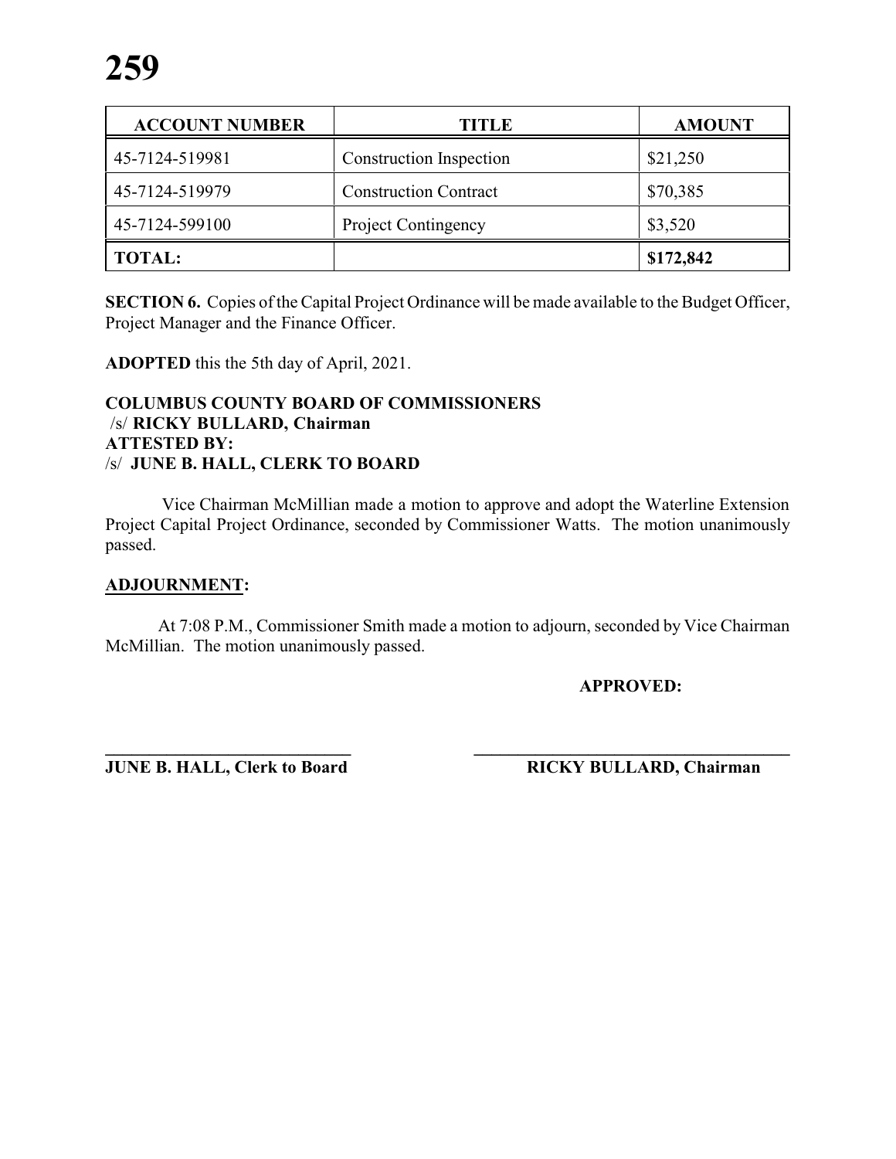| <b>ACCOUNT NUMBER</b> | <b>TITLE</b>                   | <b>AMOUNT</b> |
|-----------------------|--------------------------------|---------------|
| 45-7124-519981        | <b>Construction Inspection</b> | \$21,250      |
| 45-7124-519979        | <b>Construction Contract</b>   | \$70,385      |
| 45-7124-599100        | <b>Project Contingency</b>     | \$3,520       |
| <b>TOTAL:</b>         |                                | \$172,842     |

**SECTION 6.** Copies of the Capital Project Ordinance will be made available to the Budget Officer, Project Manager and the Finance Officer.

**ADOPTED** this the 5th day of April, 2021.

#### **COLUMBUS COUNTY BOARD OF COMMISSIONERS** /s/ **RICKY BULLARD, Chairman ATTESTED BY:**  /s/ **JUNE B. HALL, CLERK TO BOARD**

Vice Chairman McMillian made a motion to approve and adopt the Waterline Extension Project Capital Project Ordinance, seconded by Commissioner Watts. The motion unanimously passed.

#### **ADJOURNMENT:**

At 7:08 P.M., Commissioner Smith made a motion to adjourn, seconded by Vice Chairman McMillian. The motion unanimously passed.

**APPROVED:**

**\_\_\_\_\_\_\_\_\_\_\_\_\_\_\_\_\_\_\_\_\_\_\_\_\_\_\_\_ \_\_\_\_\_\_\_\_\_\_\_\_\_\_\_\_\_\_\_\_\_\_\_\_\_\_\_\_\_\_\_\_\_\_\_\_ JUNE B. HALL, Clerk to Board RICKY BULLARD, Chairman**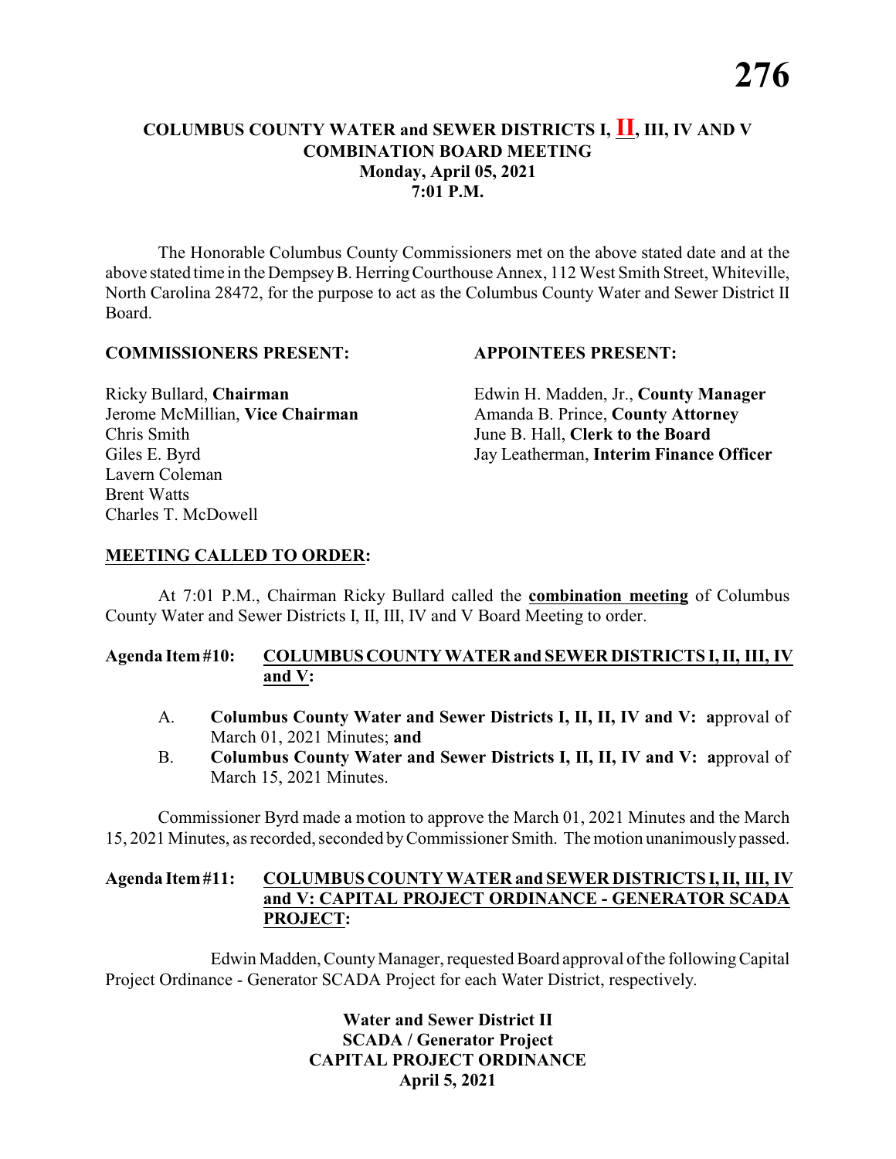# **COLUMBUS COUNTY WATER and SEWER DISTRICTS I, II, III, IV AND V COMBINATION BOARD MEETING Monday, April 05, 2021 7:01 P.M.**

The Honorable Columbus County Commissioners met on the above stated date and at the above stated time in the DempseyB. HerringCourthouse Annex, 112 West Smith Street, Whiteville, North Carolina 28472, for the purpose to act as the Columbus County Water and Sewer District II Board.

#### **COMMISSIONERS PRESENT: APPOINTEES PRESENT:**

Chris Smith June B. Hall, **Clerk to the Board** Lavern Coleman Brent Watts Charles T. McDowell

Ricky Bullard, **Chairman** Edwin H. Madden, Jr., **County Manager** Jerome McMillian, **Vice Chairman** Amanda B. Prince, **County Attorney** Giles E. Byrd Jay Leatherman, **Interim Finance Officer**

#### **MEETING CALLED TO ORDER:**

At 7:01 P.M., Chairman Ricky Bullard called the **combination meeting** of Columbus County Water and Sewer Districts I, II, III, IV and V Board Meeting to order.

### **Agenda Item#10: COLUMBUSCOUNTY WATER and SEWER DISTRICTS I, II, III, IV and V:**

- A. **Columbus County Water and Sewer Districts I, II, II, IV and V: a**pproval of March 01, 2021 Minutes; **and**
- B. **Columbus County Water and Sewer Districts I, II, II, IV and V: a**pproval of March 15, 2021 Minutes.

Commissioner Byrd made a motion to approve the March 01, 2021 Minutes and the March 15, 2021 Minutes, as recorded, seconded byCommissioner Smith. The motion unanimouslypassed.

#### **Agenda Item#11: COLUMBUS COUNTY WATER and SEWER DISTRICTSI,II, III, IV and V: CAPITAL PROJECT ORDINANCE - GENERATOR SCADA PROJECT:**

Edwin Madden, County Manager, requested Board approval of the following Capital Project Ordinance - Generator SCADA Project for each Water District, respectively.

> **Water and Sewer District II SCADA / Generator Project CAPITAL PROJECT ORDINANCE April 5, 2021**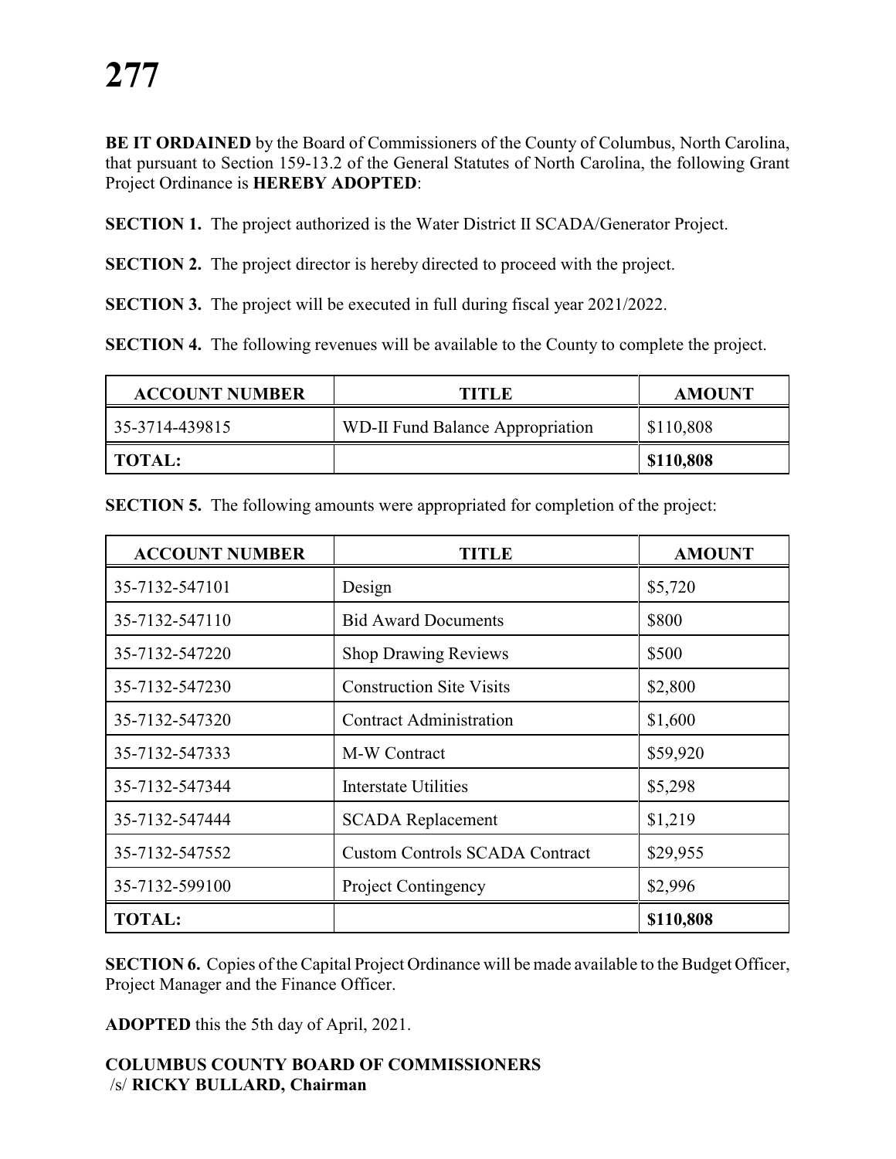**BE IT ORDAINED** by the Board of Commissioners of the County of Columbus, North Carolina, that pursuant to Section 159-13.2 of the General Statutes of North Carolina, the following Grant Project Ordinance is **HEREBY ADOPTED**:

**SECTION 1.** The project authorized is the Water District II SCADA/Generator Project.

**SECTION 2.** The project director is hereby directed to proceed with the project.

**SECTION 3.** The project will be executed in full during fiscal year 2021/2022.

**SECTION 4.** The following revenues will be available to the County to complete the project.

| <b>ACCOUNT NUMBER</b> | TITLE                            | <b>AMOUNT</b> |
|-----------------------|----------------------------------|---------------|
| 35-3714-439815        | WD-II Fund Balance Appropriation | \$110,808     |
| TOTAL:                |                                  | \$110,808     |

| <b>ACCOUNT NUMBER</b> | TITLE                                 | <b>AMOUNT</b> |
|-----------------------|---------------------------------------|---------------|
| 35-7132-547101        | Design                                | \$5,720       |
| 35-7132-547110        | <b>Bid Award Documents</b>            | \$800         |
| 35-7132-547220        | <b>Shop Drawing Reviews</b>           | \$500         |
| 35-7132-547230        | <b>Construction Site Visits</b>       | \$2,800       |
| 35-7132-547320        | <b>Contract Administration</b>        | \$1,600       |
| 35-7132-547333        | M-W Contract                          | \$59,920      |
| 35-7132-547344        | <b>Interstate Utilities</b>           | \$5,298       |
| 35-7132-547444        | <b>SCADA</b> Replacement              | \$1,219       |
| 35-7132-547552        | <b>Custom Controls SCADA Contract</b> | \$29,955      |
| 35-7132-599100        | <b>Project Contingency</b>            | \$2,996       |
| <b>TOTAL:</b>         |                                       | \$110,808     |

**SECTION 5.** The following amounts were appropriated for completion of the project:

**SECTION 6.** Copies of the Capital Project Ordinance will be made available to the Budget Officer, Project Manager and the Finance Officer.

**ADOPTED** this the 5th day of April, 2021.

#### **COLUMBUS COUNTY BOARD OF COMMISSIONERS** /s/ **RICKY BULLARD, Chairman**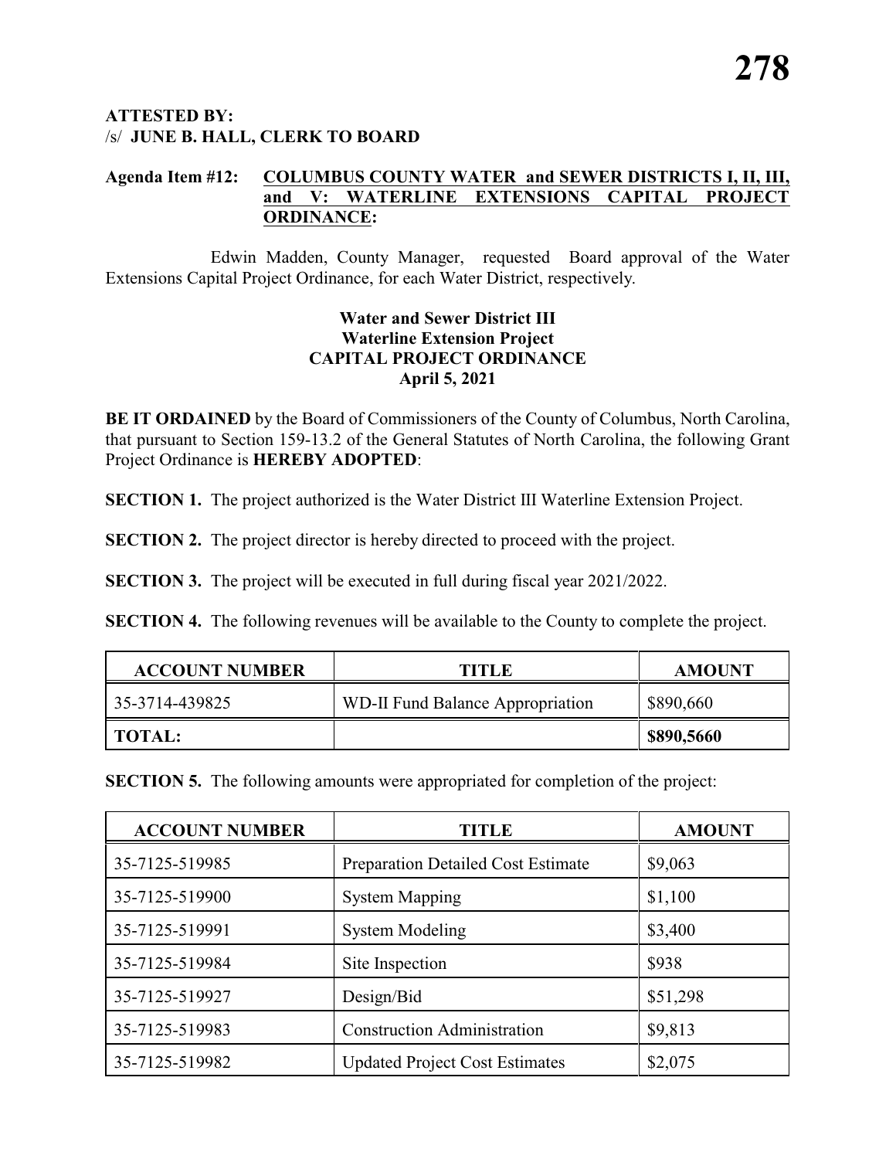### **ATTESTED BY:**  /s/ **JUNE B. HALL, CLERK TO BOARD**

#### **Agenda Item #12: COLUMBUS COUNTY WATER and SEWER DISTRICTS I, II, III, and V: WATERLINE EXTENSIONS CAPITAL PROJECT ORDINANCE:**

Edwin Madden, County Manager, requested Board approval of the Water Extensions Capital Project Ordinance, for each Water District, respectively.

### **Water and Sewer District III Waterline Extension Project CAPITAL PROJECT ORDINANCE April 5, 2021**

**BE IT ORDAINED** by the Board of Commissioners of the County of Columbus, North Carolina, that pursuant to Section 159-13.2 of the General Statutes of North Carolina, the following Grant Project Ordinance is **HEREBY ADOPTED**:

**SECTION 1.** The project authorized is the Water District III Waterline Extension Project.

**SECTION 2.** The project director is hereby directed to proceed with the project.

**SECTION 3.** The project will be executed in full during fiscal year 2021/2022.

**SECTION 4.** The following revenues will be available to the County to complete the project.

| <b>ACCOUNT NUMBER</b> | TITLE                            | <b>AMOUNT</b> |
|-----------------------|----------------------------------|---------------|
| 35-3714-439825        | WD-II Fund Balance Appropriation | \$890,660     |
| <b>TOTAL:</b>         |                                  | \$890,5660    |

**SECTION 5.** The following amounts were appropriated for completion of the project:

| <b>ACCOUNT NUMBER</b> | TITLE                                     | <b>AMOUNT</b> |
|-----------------------|-------------------------------------------|---------------|
| 35-7125-519985        | <b>Preparation Detailed Cost Estimate</b> | \$9,063       |
| 35-7125-519900        | <b>System Mapping</b>                     | \$1,100       |
| 35-7125-519991        | <b>System Modeling</b>                    | \$3,400       |
| 35-7125-519984        | Site Inspection                           | \$938         |
| 35-7125-519927        | Design/Bid                                | \$51,298      |
| 35-7125-519983        | <b>Construction Administration</b>        | \$9,813       |
| 35-7125-519982        | <b>Updated Project Cost Estimates</b>     | \$2,075       |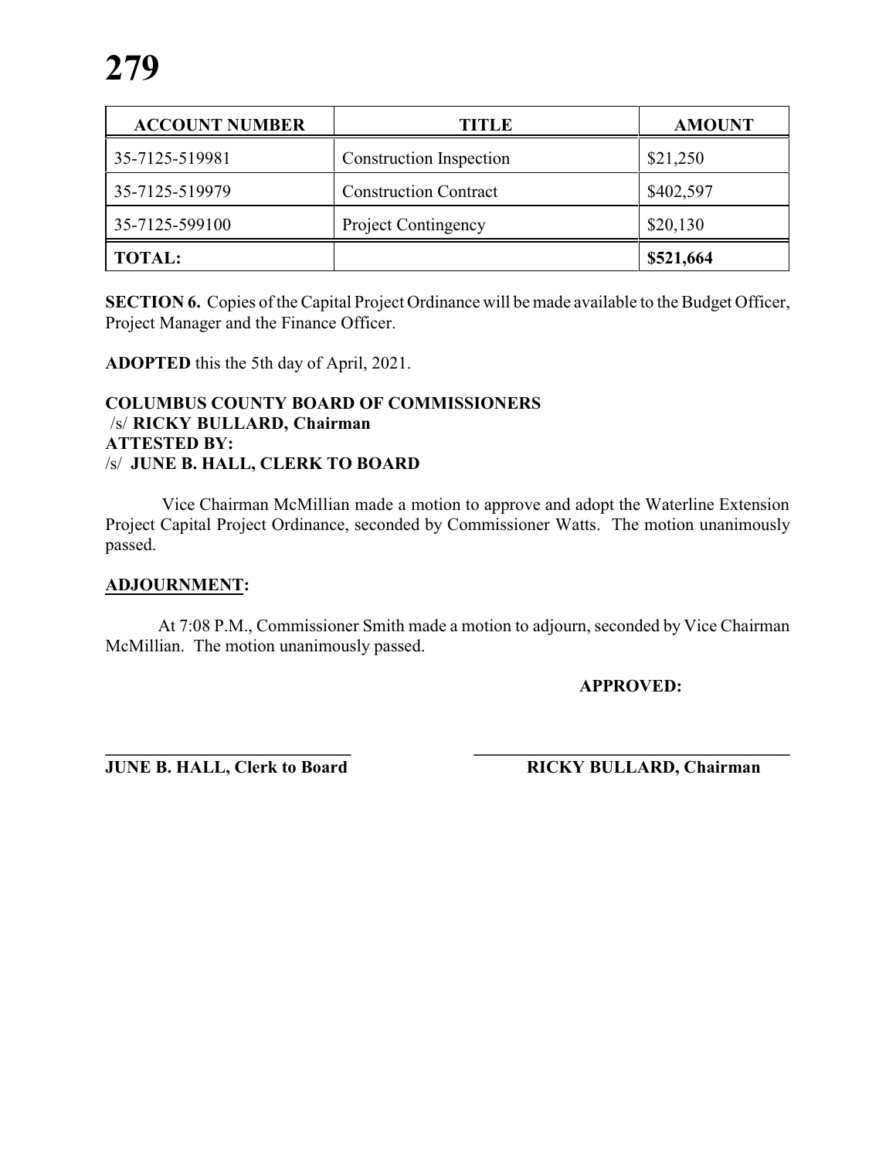| <b>ACCOUNT NUMBER</b> | <b>TITLE</b>                   | <b>AMOUNT</b> |
|-----------------------|--------------------------------|---------------|
| 35-7125-519981        | <b>Construction Inspection</b> | \$21,250      |
| 35-7125-519979        | <b>Construction Contract</b>   | \$402,597     |
| 35-7125-599100        | <b>Project Contingency</b>     | \$20,130      |
| <b>TOTAL:</b>         |                                | \$521,664     |

**SECTION 6.** Copies of the Capital Project Ordinance will be made available to the Budget Officer, Project Manager and the Finance Officer.

**ADOPTED** this the 5th day of April, 2021.

#### **COLUMBUS COUNTY BOARD OF COMMISSIONERS** /s/ **RICKY BULLARD, Chairman ATTESTED BY:**  /s/ **JUNE B. HALL, CLERK TO BOARD**

Vice Chairman McMillian made a motion to approve and adopt the Waterline Extension Project Capital Project Ordinance, seconded by Commissioner Watts. The motion unanimously passed.

#### **ADJOURNMENT:**

At 7:08 P.M., Commissioner Smith made a motion to adjourn, seconded by Vice Chairman McMillian. The motion unanimously passed.

**APPROVED:**

**\_\_\_\_\_\_\_\_\_\_\_\_\_\_\_\_\_\_\_\_\_\_\_\_\_\_\_\_ \_\_\_\_\_\_\_\_\_\_\_\_\_\_\_\_\_\_\_\_\_\_\_\_\_\_\_\_\_\_\_\_\_\_\_\_ JUNE B. HALL, Clerk to Board RICKY BULLARD, Chairman**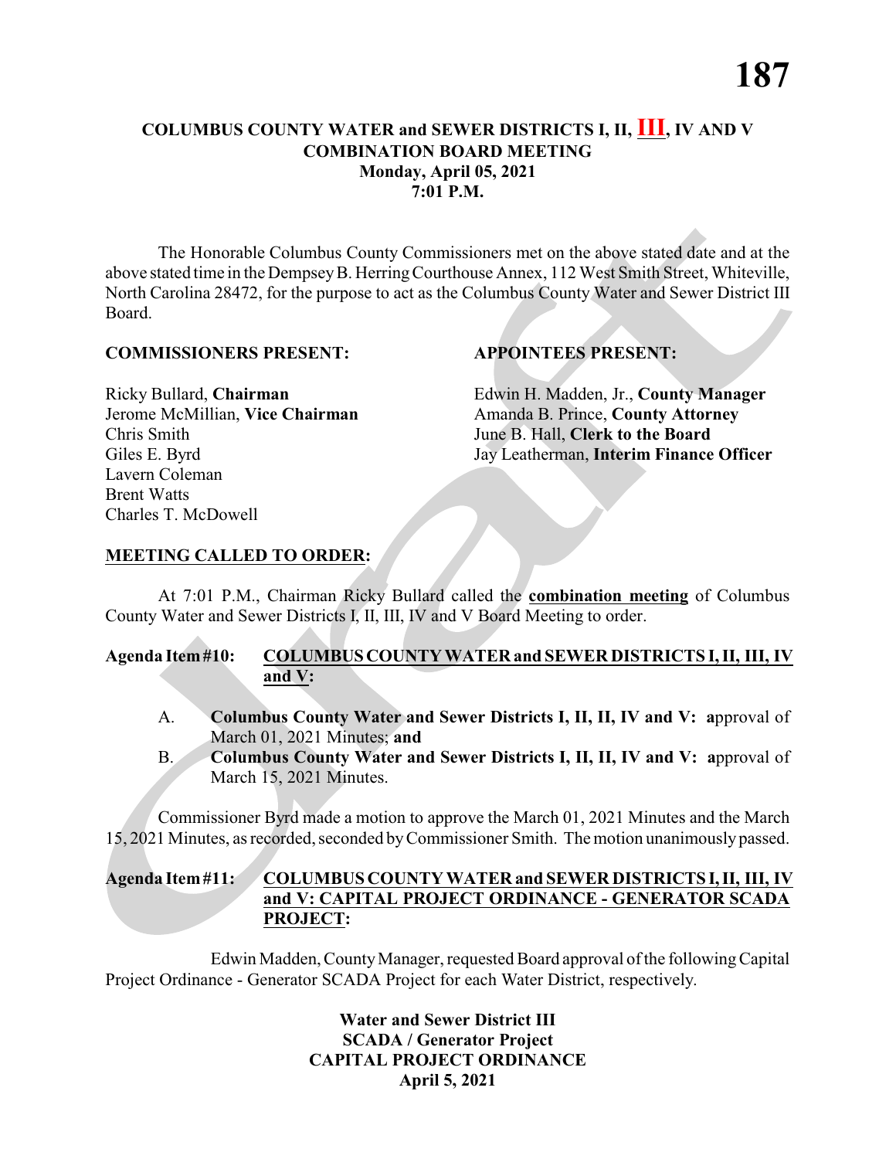# **COLUMBUS COUNTY WATER and SEWER DISTRICTS I, II, III, IV AND V COMBINATION BOARD MEETING Monday, April 05, 2021 7:01 P.M.**

The Honorable Columbus County Commissioners met on the above stated date and at the above stated time in the DempseyB. HerringCourthouse Annex, 112 West Smith Street, Whiteville, North Carolina 28472, for the purpose to act as the Columbus County Water and Sewer District III Board.

#### **COMMISSIONERS PRESENT: APPOINTEES PRESENT:**

Chris Smith June B. Hall, **Clerk to the Board** Lavern Coleman Brent Watts Charles T. McDowell

Ricky Bullard, **Chairman** Edwin H. Madden, Jr., **County Manager** Jerome McMillian, **Vice Chairman** Amanda B. Prince, **County Attorney** Giles E. Byrd Jay Leatherman, **Interim Finance Officer**

# **MEETING CALLED TO ORDER:**

At 7:01 P.M., Chairman Ricky Bullard called the **combination meeting** of Columbus County Water and Sewer Districts I, II, III, IV and V Board Meeting to order.

# **Agenda Item#10: COLUMBUSCOUNTY WATER and SEWER DISTRICTS I, II, III, IV and V:**

- A. **Columbus County Water and Sewer Districts I, II, II, IV and V: a**pproval of March 01, 2021 Minutes; **and**
- B. **Columbus County Water and Sewer Districts I, II, II, IV and V: a**pproval of March 15, 2021 Minutes.

Commissioner Byrd made a motion to approve the March 01, 2021 Minutes and the March 15, 2021 Minutes, as recorded, seconded byCommissioner Smith. The motion unanimouslypassed.

#### **Agenda Item#11: COLUMBUS COUNTY WATER and SEWER DISTRICTSI,II, III, IV and V: CAPITAL PROJECT ORDINANCE - GENERATOR SCADA PROJECT:**

Edwin Madden, County Manager, requested Board approval of the following Capital Project Ordinance - Generator SCADA Project for each Water District, respectively.

> **Water and Sewer District III SCADA / Generator Project CAPITAL PROJECT ORDINANCE April 5, 2021**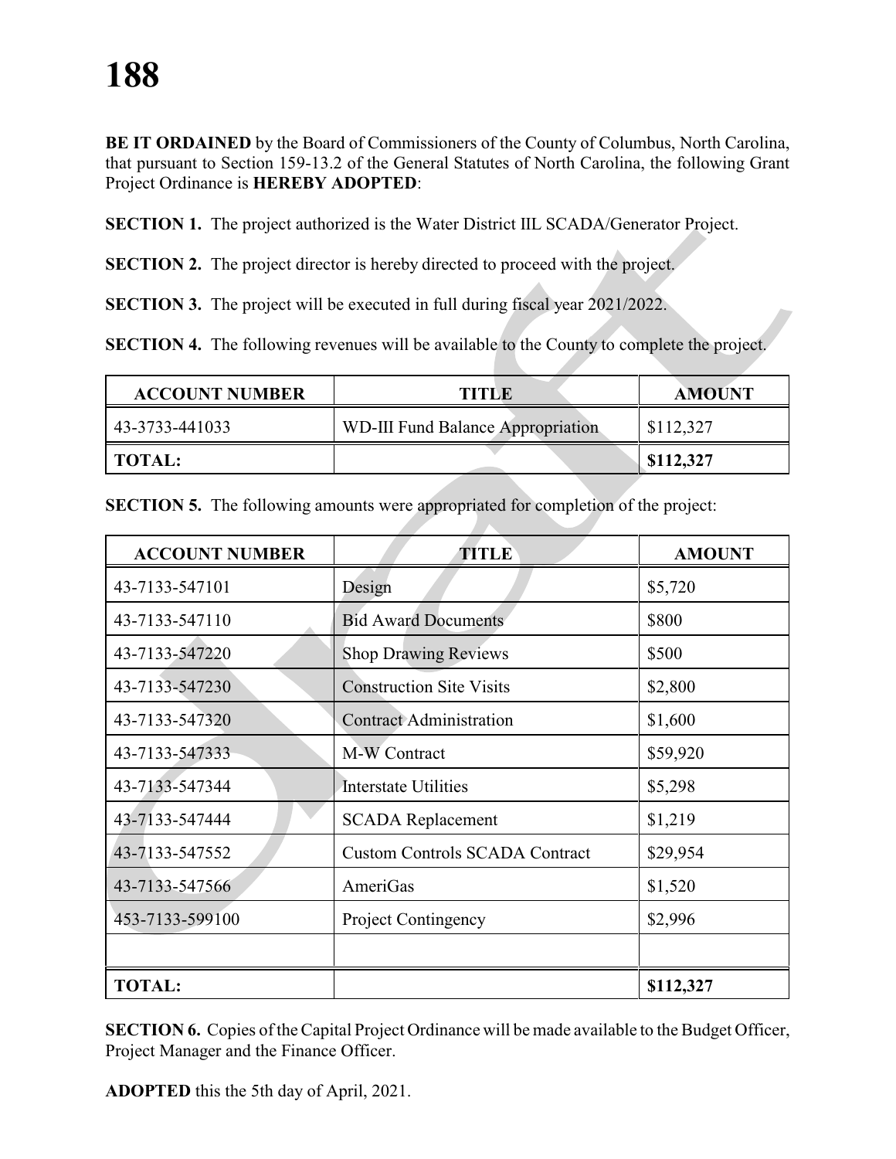**BE IT ORDAINED** by the Board of Commissioners of the County of Columbus, North Carolina, that pursuant to Section 159-13.2 of the General Statutes of North Carolina, the following Grant Project Ordinance is **HEREBY ADOPTED**:

**SECTION 1.** The project authorized is the Water District IIL SCADA/Generator Project.

**SECTION 2.** The project director is hereby directed to proceed with the project.

**SECTION 3.** The project will be executed in full during fiscal year 2021/2022.

**SECTION 4.** The following revenues will be available to the County to complete the project.

| <b>ACCOUNT NUMBER</b> | <b>TITLE</b>                             | <b>AMOUNT</b> |
|-----------------------|------------------------------------------|---------------|
| 43-3733-441033        | <b>WD-III Fund Balance Appropriation</b> | \$112,327     |
| TOTAL:                |                                          | \$112,327     |

| <b>ACCOUNT NUMBER</b> | TITLE                                 | <b>AMOUNT</b> |
|-----------------------|---------------------------------------|---------------|
| 43-7133-547101        | Design                                | \$5,720       |
| 43-7133-547110        | <b>Bid Award Documents</b>            | \$800         |
| 43-7133-547220        | <b>Shop Drawing Reviews</b>           | \$500         |
| 43-7133-547230        | <b>Construction Site Visits</b>       | \$2,800       |
| 43-7133-547320        | <b>Contract Administration</b>        | \$1,600       |
| 43-7133-547333        | M-W Contract                          | \$59,920      |
| 43-7133-547344        | <b>Interstate Utilities</b>           | \$5,298       |
| 43-7133-547444        | <b>SCADA Replacement</b>              | \$1,219       |
| 43-7133-547552        | <b>Custom Controls SCADA Contract</b> | \$29,954      |
| 43-7133-547566        | AmeriGas                              | \$1,520       |
| 453-7133-599100       | Project Contingency                   | \$2,996       |
|                       |                                       |               |
| <b>TOTAL:</b>         |                                       | \$112,327     |

**SECTION 5.** The following amounts were appropriated for completion of the project:

**SECTION 6.** Copies of the Capital Project Ordinance will be made available to the Budget Officer, Project Manager and the Finance Officer.

**ADOPTED** this the 5th day of April, 2021.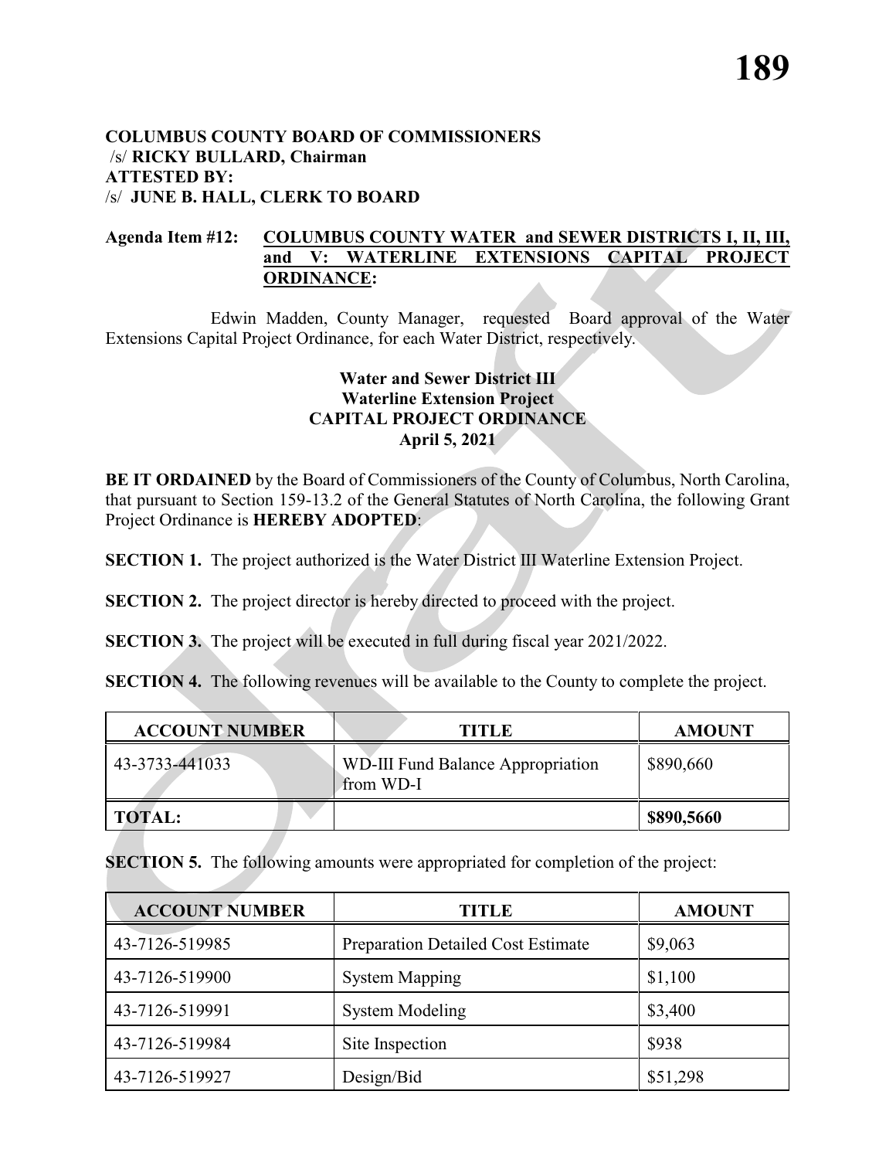#### **COLUMBUS COUNTY BOARD OF COMMISSIONERS** /s/ **RICKY BULLARD, Chairman ATTESTED BY:**  /s/ **JUNE B. HALL, CLERK TO BOARD**

#### **Agenda Item #12: COLUMBUS COUNTY WATER and SEWER DISTRICTS I, II, III, and V: WATERLINE EXTENSIONS CAPITAL PROJECT ORDINANCE:**

Edwin Madden, County Manager, requested Board approval of the Water Extensions Capital Project Ordinance, for each Water District, respectively.

# **Water and Sewer District III Waterline Extension Project CAPITAL PROJECT ORDINANCE April 5, 2021**

**BE IT ORDAINED** by the Board of Commissioners of the County of Columbus, North Carolina, that pursuant to Section 159-13.2 of the General Statutes of North Carolina, the following Grant Project Ordinance is **HEREBY ADOPTED**:

**SECTION 1.** The project authorized is the Water District III Waterline Extension Project.

**SECTION 2.** The project director is hereby directed to proceed with the project.

**SECTION 3.** The project will be executed in full during fiscal year 2021/2022.

**SECTION 4.** The following revenues will be available to the County to complete the project.

| <b>ACCOUNT NUMBER</b> | <b>TITLE</b>                                          | <b>AMOUNT</b> |
|-----------------------|-------------------------------------------------------|---------------|
| 43-3733-441033        | <b>WD-III Fund Balance Appropriation</b><br>from WD-I | \$890,660     |
| <b>TOTAL:</b>         |                                                       | \$890,5660    |

**SECTION 5.** The following amounts were appropriated for completion of the project:

| <b>ACCOUNT NUMBER</b> | TITLE                                     | <b>AMOUNT</b> |
|-----------------------|-------------------------------------------|---------------|
| 43-7126-519985        | <b>Preparation Detailed Cost Estimate</b> | \$9,063       |
| 43-7126-519900        | <b>System Mapping</b>                     | \$1,100       |
| 43-7126-519991        | <b>System Modeling</b>                    | \$3,400       |
| 43-7126-519984        | Site Inspection                           | \$938         |
| 43-7126-519927        | Design/Bid                                | \$51,298      |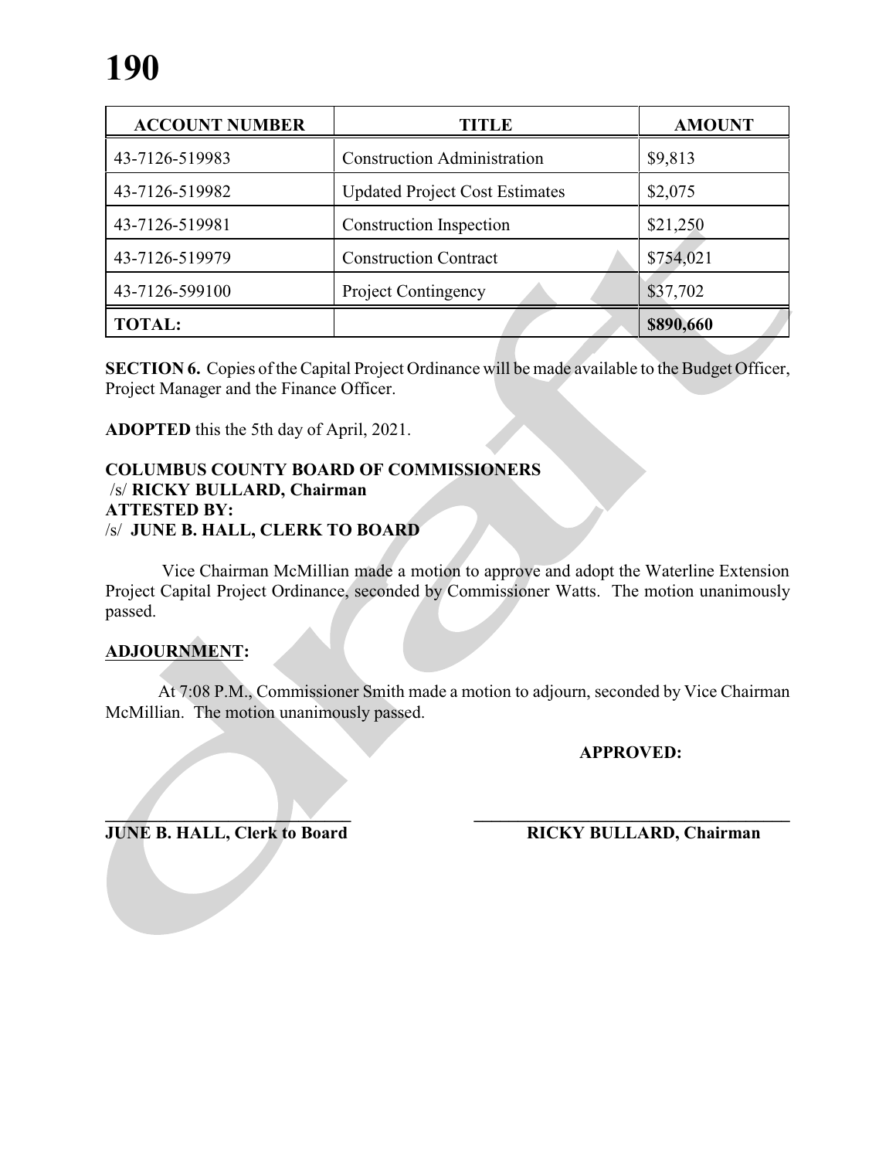| <b>ACCOUNT NUMBER</b> | <b>TITLE</b>                          | <b>AMOUNT</b> |
|-----------------------|---------------------------------------|---------------|
| 43-7126-519983        | <b>Construction Administration</b>    | \$9,813       |
| 43-7126-519982        | <b>Updated Project Cost Estimates</b> | \$2,075       |
| 43-7126-519981        | <b>Construction Inspection</b>        | \$21,250      |
| 43-7126-519979        | <b>Construction Contract</b>          | \$754,021     |
| 43-7126-599100        | <b>Project Contingency</b>            | \$37,702      |
| <b>TOTAL:</b>         |                                       | \$890,660     |

**SECTION 6.** Copies of the Capital Project Ordinance will be made available to the Budget Officer, Project Manager and the Finance Officer.

**ADOPTED** this the 5th day of April, 2021.

#### **COLUMBUS COUNTY BOARD OF COMMISSIONERS** /s/ **RICKY BULLARD, Chairman ATTESTED BY:**  /s/ **JUNE B. HALL, CLERK TO BOARD**

Vice Chairman McMillian made a motion to approve and adopt the Waterline Extension Project Capital Project Ordinance, seconded by Commissioner Watts. The motion unanimously passed.

# **ADJOURNMENT:**

At 7:08 P.M., Commissioner Smith made a motion to adjourn, seconded by Vice Chairman McMillian. The motion unanimously passed.

**APPROVED:**

**JUNE B. HALL, Clerk to Board RICKY BULLARD, Chairman**

**\_\_\_\_\_\_\_\_\_\_\_\_\_\_\_\_\_\_\_\_\_\_\_\_\_\_\_\_ \_\_\_\_\_\_\_\_\_\_\_\_\_\_\_\_\_\_\_\_\_\_\_\_\_\_\_\_\_\_\_\_\_\_\_\_**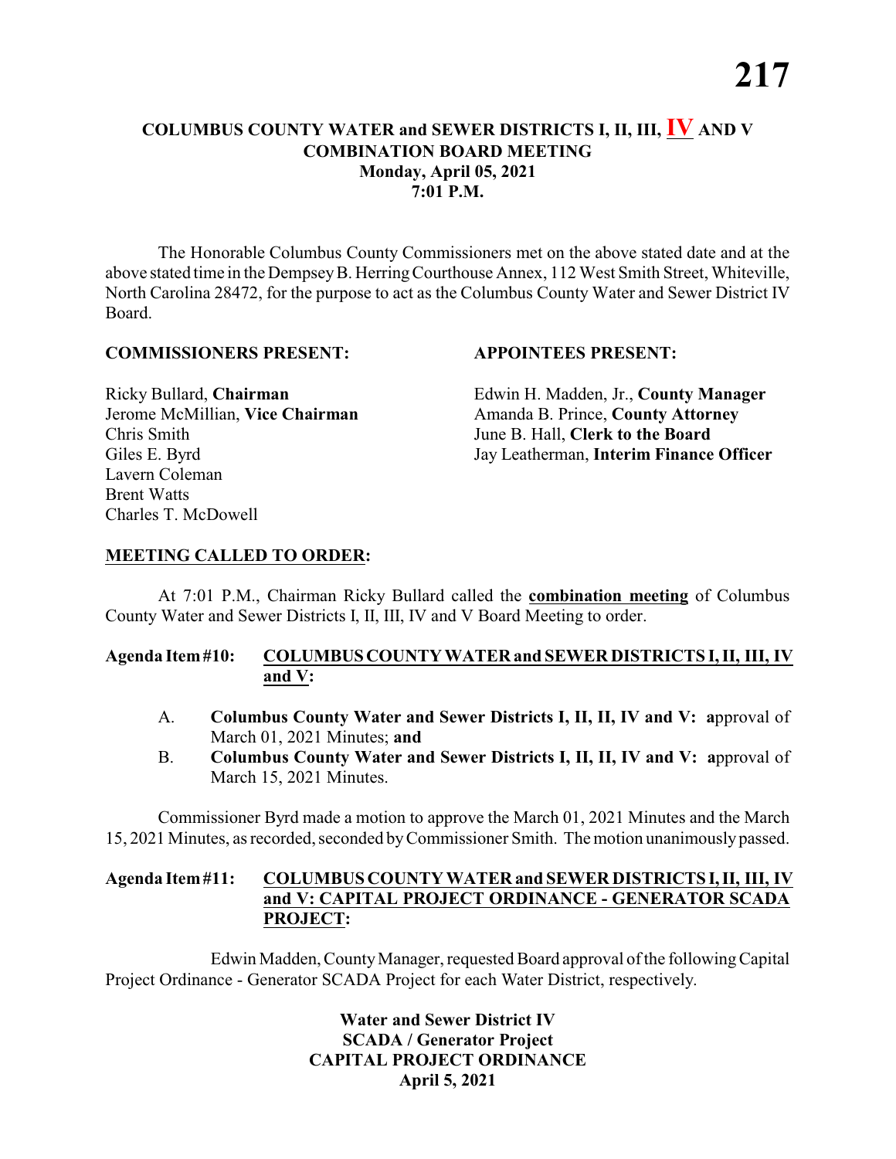# **COLUMBUS COUNTY WATER and SEWER DISTRICTS I, II, III, IV AND V COMBINATION BOARD MEETING Monday, April 05, 2021 7:01 P.M.**

The Honorable Columbus County Commissioners met on the above stated date and at the above stated time in the DempseyB. HerringCourthouse Annex, 112 West Smith Street, Whiteville, North Carolina 28472, for the purpose to act as the Columbus County Water and Sewer District IV Board.

#### **COMMISSIONERS PRESENT: APPOINTEES PRESENT:**

Chris Smith June B. Hall, **Clerk to the Board** Lavern Coleman Brent Watts Charles T. McDowell

Ricky Bullard, **Chairman** Edwin H. Madden, Jr., **County Manager** Jerome McMillian, **Vice Chairman** Amanda B. Prince, **County Attorney** Giles E. Byrd Jay Leatherman, **Interim Finance Officer**

# **MEETING CALLED TO ORDER:**

At 7:01 P.M., Chairman Ricky Bullard called the **combination meeting** of Columbus County Water and Sewer Districts I, II, III, IV and V Board Meeting to order.

### **Agenda Item#10: COLUMBUSCOUNTY WATER and SEWER DISTRICTS I, II, III, IV and V:**

- A. **Columbus County Water and Sewer Districts I, II, II, IV and V: a**pproval of March 01, 2021 Minutes; **and**
- B. **Columbus County Water and Sewer Districts I, II, II, IV and V: a**pproval of March 15, 2021 Minutes.

Commissioner Byrd made a motion to approve the March 01, 2021 Minutes and the March 15, 2021 Minutes, as recorded, seconded byCommissioner Smith. The motion unanimouslypassed.

#### **Agenda Item#11: COLUMBUS COUNTY WATER and SEWER DISTRICTSI,II, III, IV and V: CAPITAL PROJECT ORDINANCE - GENERATOR SCADA PROJECT:**

Edwin Madden, County Manager, requested Board approval of the following Capital Project Ordinance - Generator SCADA Project for each Water District, respectively.

> **Water and Sewer District IV SCADA / Generator Project CAPITAL PROJECT ORDINANCE April 5, 2021**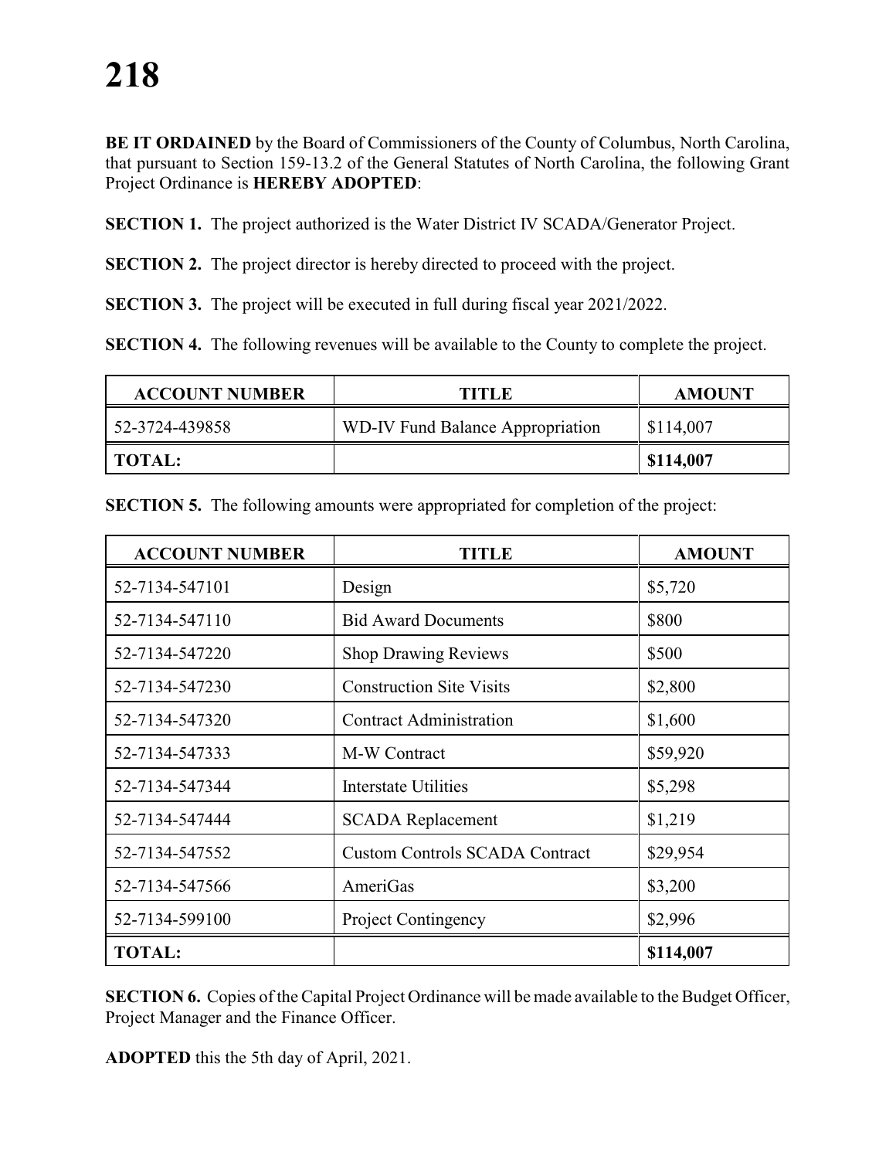**BE IT ORDAINED** by the Board of Commissioners of the County of Columbus, North Carolina, that pursuant to Section 159-13.2 of the General Statutes of North Carolina, the following Grant Project Ordinance is **HEREBY ADOPTED**:

**SECTION 1.** The project authorized is the Water District IV SCADA/Generator Project.

**SECTION 2.** The project director is hereby directed to proceed with the project.

**SECTION 3.** The project will be executed in full during fiscal year 2021/2022.

**SECTION 4.** The following revenues will be available to the County to complete the project.

| <b>ACCOUNT NUMBER</b> | TITLE                            | <b>AMOUNT</b> |
|-----------------------|----------------------------------|---------------|
| 52-3724-439858        | WD-IV Fund Balance Appropriation | \$114,007     |
| TOTAL:                |                                  | \$114,007     |

| <b>ACCOUNT NUMBER</b> | TITLE                                 | <b>AMOUNT</b> |
|-----------------------|---------------------------------------|---------------|
| 52-7134-547101        | Design                                | \$5,720       |
| 52-7134-547110        | <b>Bid Award Documents</b>            | \$800         |
| 52-7134-547220        | <b>Shop Drawing Reviews</b>           | \$500         |
| 52-7134-547230        | <b>Construction Site Visits</b>       | \$2,800       |
| 52-7134-547320        | <b>Contract Administration</b>        | \$1,600       |
| 52-7134-547333        | M-W Contract                          | \$59,920      |
| 52-7134-547344        | <b>Interstate Utilities</b>           | \$5,298       |
| 52-7134-547444        | <b>SCADA</b> Replacement              | \$1,219       |
| 52-7134-547552        | <b>Custom Controls SCADA Contract</b> | \$29,954      |
| 52-7134-547566        | AmeriGas                              | \$3,200       |
| 52-7134-599100        | <b>Project Contingency</b>            | \$2,996       |
| <b>TOTAL:</b>         |                                       | \$114,007     |

**SECTION 5.** The following amounts were appropriated for completion of the project:

**SECTION 6.** Copies of the Capital Project Ordinance will be made available to the Budget Officer, Project Manager and the Finance Officer.

**ADOPTED** this the 5th day of April, 2021.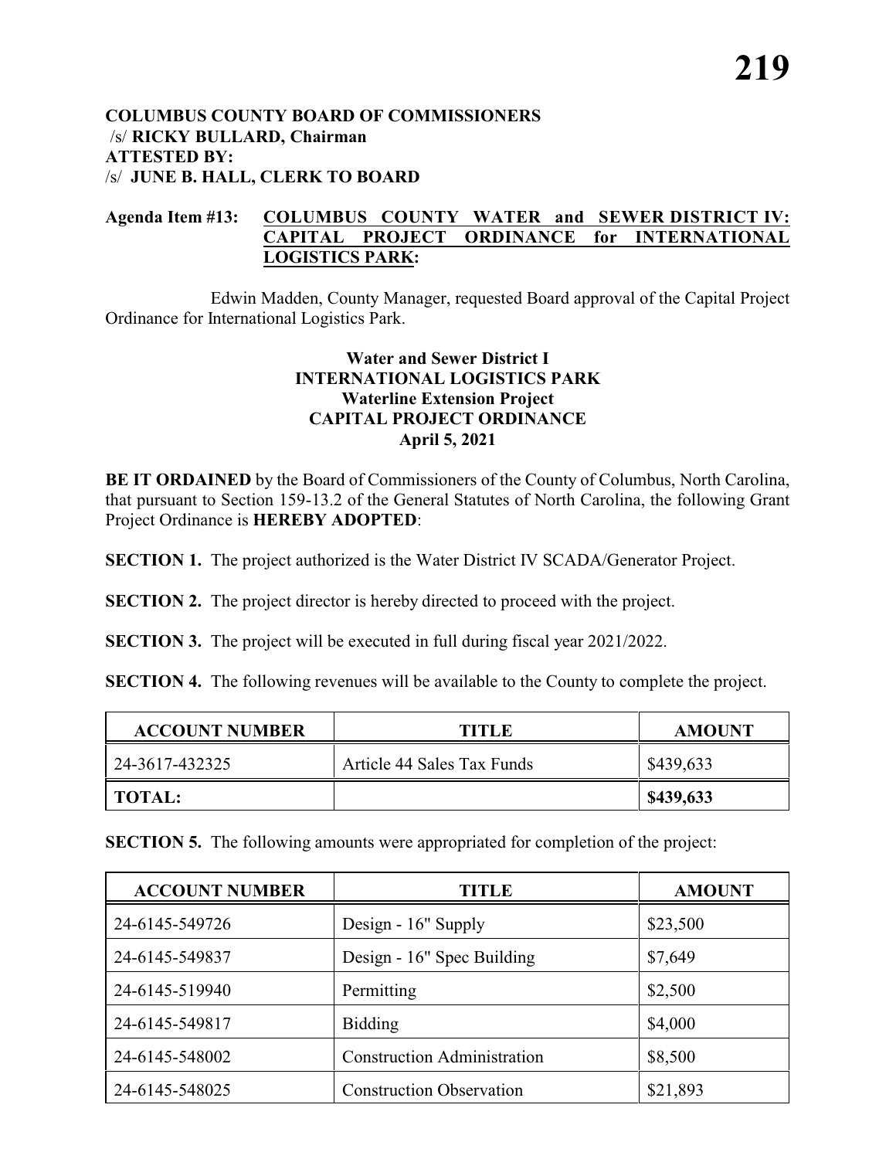#### **COLUMBUS COUNTY BOARD OF COMMISSIONERS** /s/ **RICKY BULLARD, Chairman ATTESTED BY:**  /s/ **JUNE B. HALL, CLERK TO BOARD**

#### **Agenda Item #13: COLUMBUS COUNTY WATER and SEWER DISTRICT IV: CAPITAL PROJECT ORDINANCE for INTERNATIONAL LOGISTICS PARK:**

Edwin Madden, County Manager, requested Board approval of the Capital Project Ordinance for International Logistics Park.

### **Water and Sewer District I INTERNATIONAL LOGISTICS PARK Waterline Extension Project CAPITAL PROJECT ORDINANCE April 5, 2021**

**BE IT ORDAINED** by the Board of Commissioners of the County of Columbus, North Carolina, that pursuant to Section 159-13.2 of the General Statutes of North Carolina, the following Grant Project Ordinance is **HEREBY ADOPTED**:

**SECTION 1.** The project authorized is the Water District IV SCADA/Generator Project.

**SECTION 2.** The project director is hereby directed to proceed with the project.

**SECTION 3.** The project will be executed in full during fiscal year 2021/2022.

**SECTION 4.** The following revenues will be available to the County to complete the project.

| <b>ACCOUNT NUMBER</b> | <b>TITLE</b>               | <b>AMOUNT</b> |
|-----------------------|----------------------------|---------------|
| 24-3617-432325        | Article 44 Sales Tax Funds | \$439,633     |
| <b>TOTAL:</b>         |                            | \$439,633     |

**SECTION 5.** The following amounts were appropriated for completion of the project:

| <b>ACCOUNT NUMBER</b> | TITLE                              | <b>AMOUNT</b> |
|-----------------------|------------------------------------|---------------|
| 24-6145-549726        | Design - 16" Supply                | \$23,500      |
| 24-6145-549837        | Design - 16" Spec Building         | \$7,649       |
| 24-6145-519940        | Permitting                         | \$2,500       |
| 24-6145-549817        | <b>Bidding</b>                     | \$4,000       |
| 24-6145-548002        | <b>Construction Administration</b> | \$8,500       |
| 24-6145-548025        | <b>Construction Observation</b>    | \$21,893      |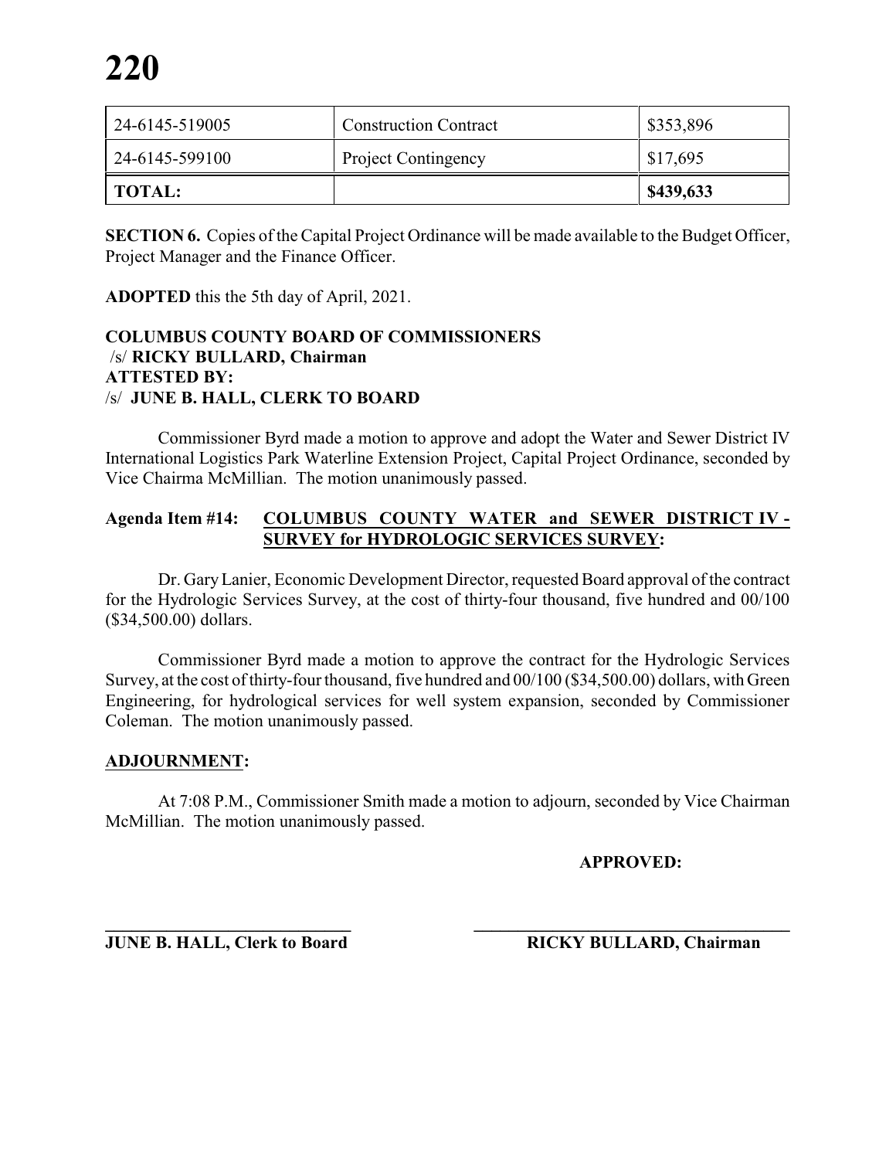| 24-6145-519005 | <b>Construction Contract</b> | \$353,896 |
|----------------|------------------------------|-----------|
| 24-6145-599100 | <b>Project Contingency</b>   | \$17,695  |
| TOTAL:         |                              | \$439,633 |

**SECTION 6.** Copies of the Capital Project Ordinance will be made available to the Budget Officer, Project Manager and the Finance Officer.

**ADOPTED** this the 5th day of April, 2021.

#### **COLUMBUS COUNTY BOARD OF COMMISSIONERS** /s/ **RICKY BULLARD, Chairman ATTESTED BY:**  /s/ **JUNE B. HALL, CLERK TO BOARD**

Commissioner Byrd made a motion to approve and adopt the Water and Sewer District IV International Logistics Park Waterline Extension Project, Capital Project Ordinance, seconded by Vice Chairma McMillian. The motion unanimously passed.

#### **Agenda Item #14: COLUMBUS COUNTY WATER and SEWER DISTRICT IV - SURVEY for HYDROLOGIC SERVICES SURVEY:**

Dr. GaryLanier, Economic Development Director, requested Board approval of the contract for the Hydrologic Services Survey, at the cost of thirty-four thousand, five hundred and 00/100 (\$34,500.00) dollars.

Commissioner Byrd made a motion to approve the contract for the Hydrologic Services Survey, at the cost of thirty-four thousand, five hundred and 00/100 (\$34,500.00) dollars, with Green Engineering, for hydrological services for well system expansion, seconded by Commissioner Coleman. The motion unanimously passed.

### **ADJOURNMENT:**

At 7:08 P.M., Commissioner Smith made a motion to adjourn, seconded by Vice Chairman McMillian. The motion unanimously passed.

**APPROVED:**

**\_\_\_\_\_\_\_\_\_\_\_\_\_\_\_\_\_\_\_\_\_\_\_\_\_\_\_\_ \_\_\_\_\_\_\_\_\_\_\_\_\_\_\_\_\_\_\_\_\_\_\_\_\_\_\_\_\_\_\_\_\_\_\_\_ JUNE B. HALL, Clerk to Board RICKY BULLARD, Chairman**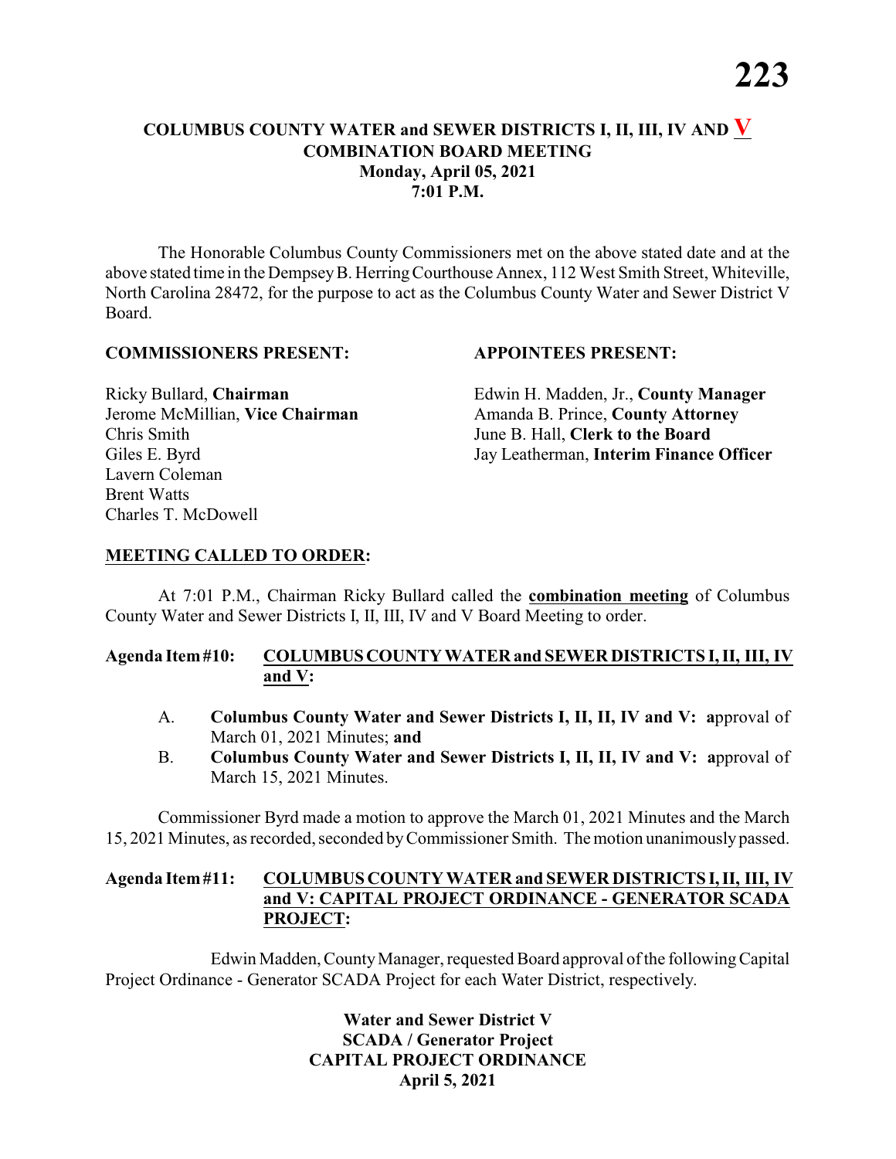# **COLUMBUS COUNTY WATER and SEWER DISTRICTS I, II, III, IV AND V COMBINATION BOARD MEETING Monday, April 05, 2021 7:01 P.M.**

The Honorable Columbus County Commissioners met on the above stated date and at the above stated time in the DempseyB. HerringCourthouse Annex, 112 West Smith Street, Whiteville, North Carolina 28472, for the purpose to act as the Columbus County Water and Sewer District V Board.

#### **COMMISSIONERS PRESENT: APPOINTEES PRESENT:**

Chris Smith June B. Hall, **Clerk to the Board** Lavern Coleman Brent Watts Charles T. McDowell

Ricky Bullard, **Chairman** Edwin H. Madden, Jr., **County Manager** Jerome McMillian, **Vice Chairman** Amanda B. Prince, **County Attorney** Giles E. Byrd Jay Leatherman, **Interim Finance Officer**

#### **MEETING CALLED TO ORDER:**

At 7:01 P.M., Chairman Ricky Bullard called the **combination meeting** of Columbus County Water and Sewer Districts I, II, III, IV and V Board Meeting to order.

#### **Agenda Item#10: COLUMBUSCOUNTY WATER and SEWER DISTRICTS I, II, III, IV and V:**

- A. **Columbus County Water and Sewer Districts I, II, II, IV and V: a**pproval of March 01, 2021 Minutes; **and**
- B. **Columbus County Water and Sewer Districts I, II, II, IV and V: a**pproval of March 15, 2021 Minutes.

Commissioner Byrd made a motion to approve the March 01, 2021 Minutes and the March 15, 2021 Minutes, as recorded, seconded byCommissioner Smith. The motion unanimouslypassed.

#### **Agenda Item#11: COLUMBUS COUNTY WATER and SEWER DISTRICTSI,II, III, IV and V: CAPITAL PROJECT ORDINANCE - GENERATOR SCADA PROJECT:**

Edwin Madden, County Manager, requested Board approval of the following Capital Project Ordinance - Generator SCADA Project for each Water District, respectively.

> **Water and Sewer District V SCADA / Generator Project CAPITAL PROJECT ORDINANCE April 5, 2021**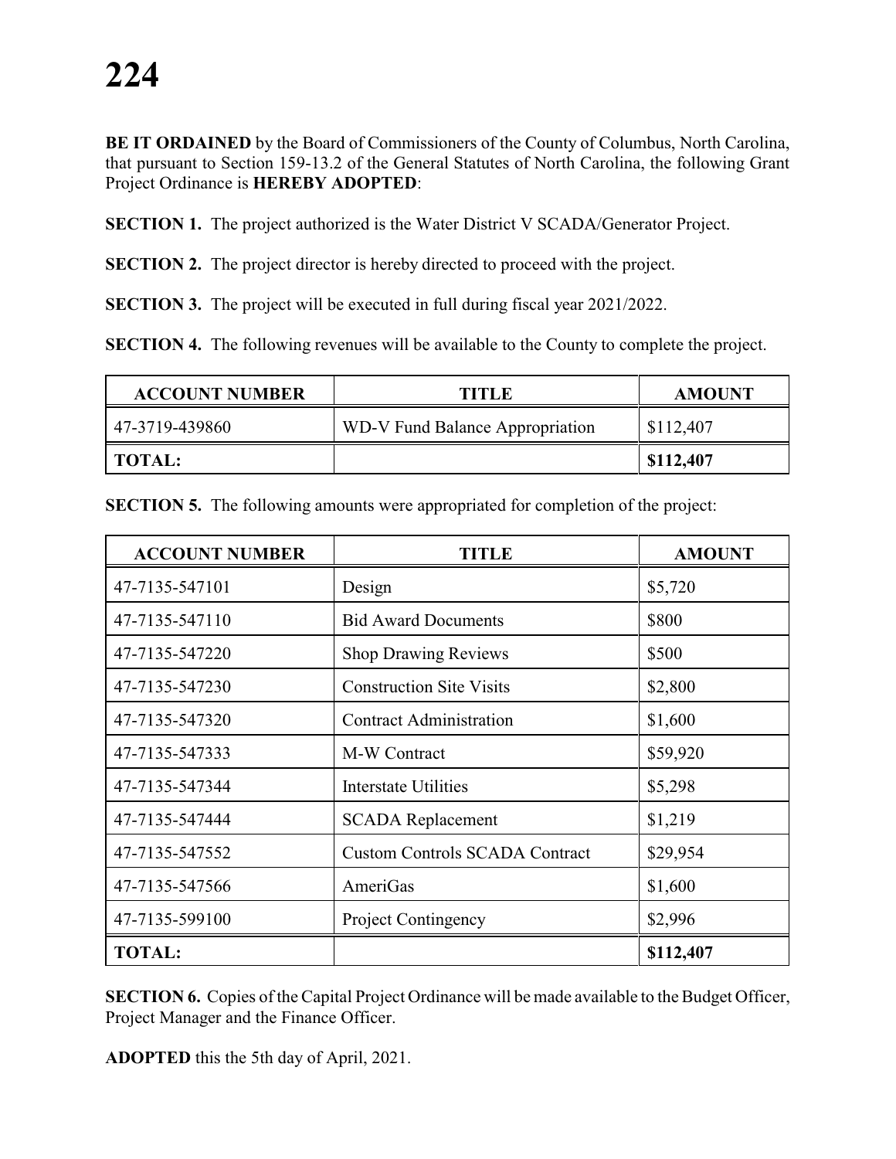**BE IT ORDAINED** by the Board of Commissioners of the County of Columbus, North Carolina, that pursuant to Section 159-13.2 of the General Statutes of North Carolina, the following Grant Project Ordinance is **HEREBY ADOPTED**:

**SECTION 1.** The project authorized is the Water District V SCADA/Generator Project.

**SECTION 2.** The project director is hereby directed to proceed with the project.

**SECTION 3.** The project will be executed in full during fiscal year 2021/2022.

**SECTION 4.** The following revenues will be available to the County to complete the project.

| <b>ACCOUNT NUMBER</b> | TITLE                           | <b>AMOUNT</b> |
|-----------------------|---------------------------------|---------------|
| 47-3719-439860        | WD-V Fund Balance Appropriation | \$112,407     |
| TOTAL:                |                                 | \$112,407     |

| <b>ACCOUNT NUMBER</b> | TITLE                                 | <b>AMOUNT</b> |
|-----------------------|---------------------------------------|---------------|
| 47-7135-547101        | Design                                | \$5,720       |
| 47-7135-547110        | <b>Bid Award Documents</b>            | \$800         |
| 47-7135-547220        | <b>Shop Drawing Reviews</b>           | \$500         |
| 47-7135-547230        | <b>Construction Site Visits</b>       | \$2,800       |
| 47-7135-547320        | <b>Contract Administration</b>        | \$1,600       |
| 47-7135-547333        | M-W Contract                          | \$59,920      |
| 47-7135-547344        | <b>Interstate Utilities</b>           | \$5,298       |
| 47-7135-547444        | <b>SCADA</b> Replacement              | \$1,219       |
| 47-7135-547552        | <b>Custom Controls SCADA Contract</b> | \$29,954      |
| 47-7135-547566        | AmeriGas                              | \$1,600       |
| 47-7135-599100        | <b>Project Contingency</b>            | \$2,996       |
| <b>TOTAL:</b>         |                                       | \$112,407     |

**SECTION 5.** The following amounts were appropriated for completion of the project:

**SECTION 6.** Copies of the Capital Project Ordinance will be made available to the Budget Officer, Project Manager and the Finance Officer.

**ADOPTED** this the 5th day of April, 2021.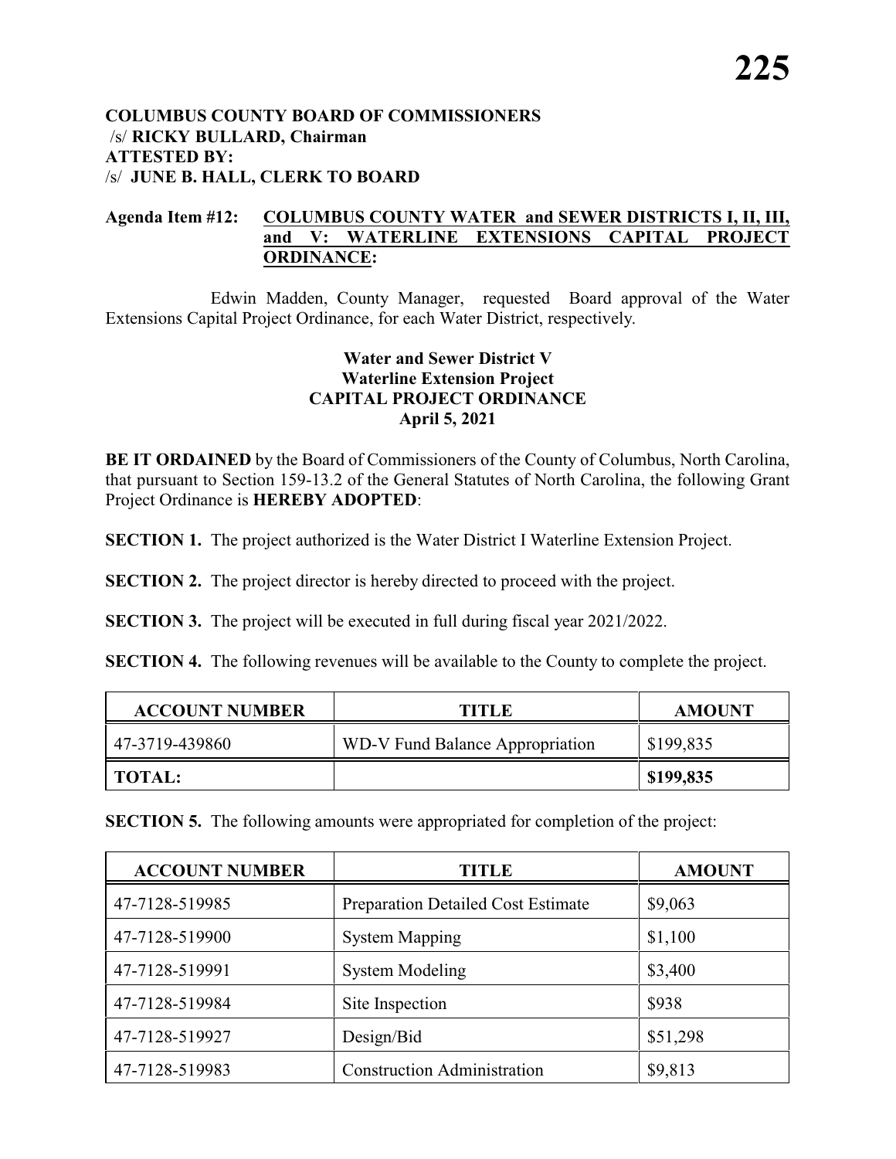#### **COLUMBUS COUNTY BOARD OF COMMISSIONERS** /s/ **RICKY BULLARD, Chairman ATTESTED BY:**  /s/ **JUNE B. HALL, CLERK TO BOARD**

#### **Agenda Item #12: COLUMBUS COUNTY WATER and SEWER DISTRICTS I, II, III, and V: WATERLINE EXTENSIONS CAPITAL PROJECT ORDINANCE:**

Edwin Madden, County Manager, requested Board approval of the Water Extensions Capital Project Ordinance, for each Water District, respectively.

# **Water and Sewer District V Waterline Extension Project CAPITAL PROJECT ORDINANCE April 5, 2021**

**BE IT ORDAINED** by the Board of Commissioners of the County of Columbus, North Carolina, that pursuant to Section 159-13.2 of the General Statutes of North Carolina, the following Grant Project Ordinance is **HEREBY ADOPTED**:

**SECTION 1.** The project authorized is the Water District I Waterline Extension Project.

**SECTION 2.** The project director is hereby directed to proceed with the project.

**SECTION 3.** The project will be executed in full during fiscal year 2021/2022.

**SECTION 4.** The following revenues will be available to the County to complete the project.

| <b>ACCOUNT NUMBER</b> | TITLE                           | <b>AMOUNT</b> |
|-----------------------|---------------------------------|---------------|
| 47-3719-439860        | WD-V Fund Balance Appropriation | \$199,835     |
| <b>TOTAL:</b>         |                                 | \$199,835     |

**SECTION 5.** The following amounts were appropriated for completion of the project:

| <b>ACCOUNT NUMBER</b> | TITLE                              | <b>AMOUNT</b> |
|-----------------------|------------------------------------|---------------|
| 47-7128-519985        | Preparation Detailed Cost Estimate | \$9,063       |
| 47-7128-519900        | <b>System Mapping</b>              | \$1,100       |
| 47-7128-519991        | <b>System Modeling</b>             | \$3,400       |
| 47-7128-519984        | Site Inspection                    | \$938         |
| 47-7128-519927        | Design/Bid                         | \$51,298      |
| 47-7128-519983        | <b>Construction Administration</b> | \$9,813       |